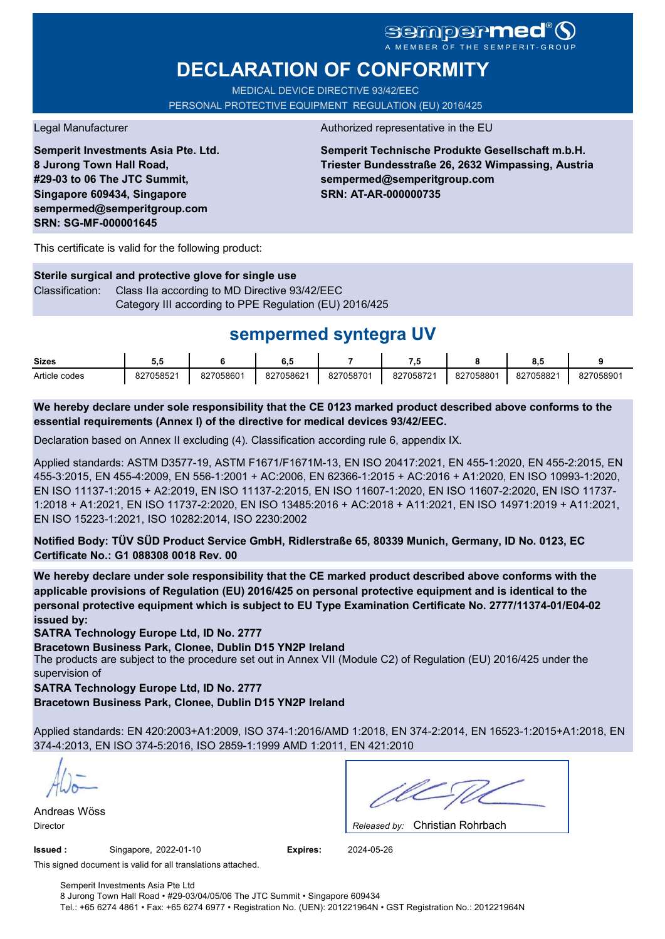# **sempermed**

# **DECLARATION OF CONFORMITY**

MEDICAL DEVICE DIRECTIVE 93/42/EEC PERSONAL PROTECTIVE EQUIPMENT REGULATION (EU) 2016/425

**Semperit Investments Asia Pte. Ltd. 8 Jurong Town Hall Road, #29-03 to 06 The JTC Summit, Singapore 609434, Singapore sempermed@semperitgroup.com SRN: SG-MF-000001645**

#### Legal Manufacturer **Authorized representative in the EU**

**Semperit Technische Produkte Gesellschaft m.b.H. Triester Bundesstraße 26, 2632 Wimpassing, Austria sempermed@semperitgroup.com SRN: AT-AR-000000735**

This certificate is valid for the following product:

**Sterile surgical and protective glove for single use** Classification: Class IIa according to MD Directive 93/42/EEC Category III according to PPE Regulation (EU) 2016/425

## **sempermed syntegra UV**

| <b>Sizes</b>  | v.v       |           | ο         |           | - 14      |           | 0.0       |           |
|---------------|-----------|-----------|-----------|-----------|-----------|-----------|-----------|-----------|
| Article codes | 827058521 | 827058601 | 827058621 | 827058701 | 827058721 | 827058801 | 827058821 | 827058901 |

**We hereby declare under sole responsibility that the CE 0123 marked product described above conforms to the essential requirements (Annex I) of the directive for medical devices 93/42/EEC.**

Declaration based on Annex II excluding (4). Classification according rule 6, appendix IX.

Applied standards: ASTM D3577-19, ASTM F1671/F1671M-13, EN ISO 20417:2021, EN 455-1:2020, EN 455-2:2015, EN 455-3:2015, EN 455-4:2009, EN 556-1:2001 + AC:2006, EN 62366-1:2015 + AC:2016 + A1:2020, EN ISO 10993-1:2020, EN ISO 11137-1:2015 + A2:2019, EN ISO 11137-2:2015, EN ISO 11607-1:2020, EN ISO 11607-2:2020, EN ISO 11737- 1:2018 + A1:2021, EN ISO 11737-2:2020, EN ISO 13485:2016 + AC:2018 + A11:2021, EN ISO 14971:2019 + A11:2021, EN ISO 15223-1:2021, ISO 10282:2014, ISO 2230:2002

**Notified Body: TÜV SÜD Product Service GmbH, Ridlerstraße 65, 80339 Munich, Germany, ID No. 0123, EC Certificate No.: G1 088308 0018 Rev. 00** 

**We hereby declare under sole responsibility that the CE marked product described above conforms with the applicable provisions of Regulation (EU) 2016/425 on personal protective equipment and is identical to the personal protective equipment which is subject to EU Type Examination Certificate No. 2777/11374-01/E04-02 issued by:**

**SATRA Technology Europe Ltd, ID No. 2777**

**Bracetown Business Park, Clonee, Dublin D15 YN2P Ireland**

The products are subject to the procedure set out in Annex VII (Module C2) of Regulation (EU) 2016/425 under the supervision of

**SATRA Technology Europe Ltd, ID No. 2777**

**Bracetown Business Park, Clonee, Dublin D15 YN2P Ireland**

Applied standards: EN 420:2003+A1:2009, ISO 374-1:2016/AMD 1:2018, EN 374-2:2014, EN 16523-1:2015+A1:2018, EN 374-4:2013, EN ISO 374-5:2016, ISO 2859-1:1999 AMD 1:2011, EN 421:2010

Andreas Wöss

Christian Rohrbach Director *Released by:* 

**Issued :** Singapore, 2022-01-10 **Expires:** 2024-05-26

This signed document is valid for all translations attached.

Semperit Investments Asia Pte Ltd 8 Jurong Town Hall Road • #29-03/04/05/06 The JTC Summit • Singapore 609434 Tel.: +65 6274 4861 • Fax: +65 6274 6977 • Registration No. (UEN): 201221964N • GST Registration No.: 201221964N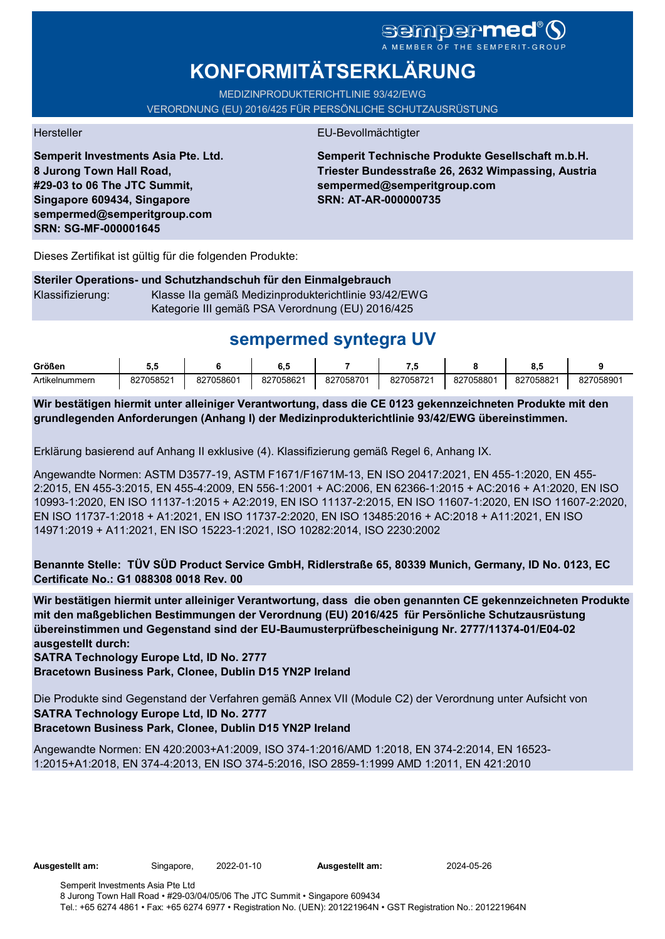# sempermed

# **KONFORMITÄTSERKLÄRUNG**

MEDIZINPRODUKTERICHTLINIE 93/42/EWG VERORDNUNG (EU) 2016/425 FÜR PERSÖNLICHE SCHUTZAUSRÜSTUNG

**Semperit Investments Asia Pte. Ltd. 8 Jurong Town Hall Road, #29-03 to 06 The JTC Summit, Singapore 609434, Singapore sempermed@semperitgroup.com SRN: SG-MF-000001645**

#### Hersteller EU-Bevollmächtigter

**Semperit Technische Produkte Gesellschaft m.b.H. Triester Bundesstraße 26, 2632 Wimpassing, Austria sempermed@semperitgroup.com SRN: AT-AR-000000735**

Dieses Zertifikat ist gültig für die folgenden Produkte:

#### **Steriler Operations- und Schutzhandschuh für den Einmalgebrauch** Klassifizierung: Klasse IIa gemäß Medizinprodukterichtlinie 93/42/EWG Kategorie III gemäß PSA Verordnung (EU) 2016/425

# **sempermed syntegra UV**

| Größen         | v.        |           | v.v       |           | .,        |           | ο.υ       |           |
|----------------|-----------|-----------|-----------|-----------|-----------|-----------|-----------|-----------|
| Artikelnummern | 827058521 | 827058601 | 827058621 | 827058701 | 827058721 | 827058801 | 827058821 | 827058901 |

**Wir bestätigen hiermit unter alleiniger Verantwortung, dass die CE 0123 gekennzeichneten Produkte mit den grundlegenden Anforderungen (Anhang I) der Medizinprodukterichtlinie 93/42/EWG übereinstimmen.**

Erklärung basierend auf Anhang II exklusive (4). Klassifizierung gemäß Regel 6, Anhang IX.

Angewandte Normen: ASTM D3577-19, ASTM F1671/F1671M-13, EN ISO 20417:2021, EN 455-1:2020, EN 455- 2:2015, EN 455-3:2015, EN 455-4:2009, EN 556-1:2001 + AC:2006, EN 62366-1:2015 + AC:2016 + A1:2020, EN ISO 10993-1:2020, EN ISO 11137-1:2015 + A2:2019, EN ISO 11137-2:2015, EN ISO 11607-1:2020, EN ISO 11607-2:2020, EN ISO 11737-1:2018 + A1:2021, EN ISO 11737-2:2020, EN ISO 13485:2016 + AC:2018 + A11:2021, EN ISO 14971:2019 + A11:2021, EN ISO 15223-1:2021, ISO 10282:2014, ISO 2230:2002

**Benannte Stelle: TÜV SÜD Product Service GmbH, Ridlerstraße 65, 80339 Munich, Germany, ID No. 0123, EC Certificate No.: G1 088308 0018 Rev. 00** 

**Wir bestätigen hiermit unter alleiniger Verantwortung, dass die oben genannten CE gekennzeichneten Produkte mit den maßgeblichen Bestimmungen der Verordnung (EU) 2016/425 für Persönliche Schutzausrüstung übereinstimmen und Gegenstand sind der EU-Baumusterprüfbescheinigung Nr. 2777/11374-01/E04-02 ausgestellt durch:**

#### **SATRA Technology Europe Ltd, ID No. 2777**

**Bracetown Business Park, Clonee, Dublin D15 YN2P Ireland**

Die Produkte sind Gegenstand der Verfahren gemäß Annex VII (Module C2) der Verordnung unter Aufsicht von **SATRA Technology Europe Ltd, ID No. 2777**

### **Bracetown Business Park, Clonee, Dublin D15 YN2P Ireland**

Angewandte Normen: EN 420:2003+A1:2009, ISO 374-1:2016/AMD 1:2018, EN 374-2:2014, EN 16523- 1:2015+A1:2018, EN 374-4:2013, EN ISO 374-5:2016, ISO 2859-1:1999 AMD 1:2011, EN 421:2010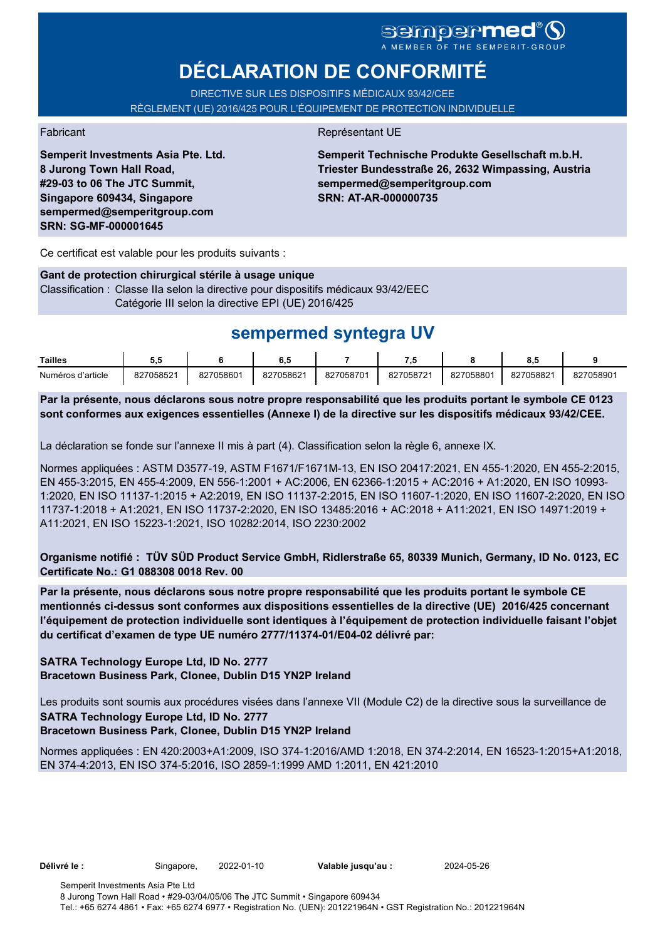# **DÉCLARATION DE CONFORMITÉ**

DIRECTIVE SUR LES DISPOSITIFS MÉDICAUX 93/42/CEE RÈGLEMENT (UE) 2016/425 POUR L'ÉQUIPEMENT DE PROTECTION INDIVIDUELLE

**Semperit Investments Asia Pte. Ltd. 8 Jurong Town Hall Road, #29-03 to 06 The JTC Summit, Singapore 609434, Singapore sempermed@semperitgroup.com SRN: SG-MF-000001645**

#### Fabricant **Représentant UE**

**Semperit Technische Produkte Gesellschaft m.b.H. Triester Bundesstraße 26, 2632 Wimpassing, Austria sempermed@semperitgroup.com SRN: AT-AR-000000735**

Ce certificat est valable pour les produits suivants :

#### **Gant de protection chirurgical stérile à usage unique**

Classification : Classe IIa selon la directive pour dispositifs médicaux 93/42/EEC Catégorie III selon la directive EPI (UE) 2016/425

## **sempermed syntegra UV**

| Tailles           | . .                |           | υ         |           | - 1       |          | υ.,       |           |
|-------------------|--------------------|-----------|-----------|-----------|-----------|----------|-----------|-----------|
| Numéros d'article | 827058521<br>، ے د | 827058601 | 827058621 | 827058701 | 827058721 | 82705880 | 827058821 | 827058901 |

**Par la présente, nous déclarons sous notre propre responsabilité que les produits portant le symbole CE 0123 sont conformes aux exigences essentielles (Annexe I) de la directive sur les dispositifs médicaux 93/42/CEE.**

La déclaration se fonde sur l'annexe II mis à part (4). Classification selon la règle 6, annexe IX.

Normes appliquées : ASTM D3577-19, ASTM F1671/F1671M-13, EN ISO 20417:2021, EN 455-1:2020, EN 455-2:2015, EN 455-3:2015, EN 455-4:2009, EN 556-1:2001 + AC:2006, EN 62366-1:2015 + AC:2016 + A1:2020, EN ISO 10993- 1:2020, EN ISO 11137-1:2015 + A2:2019, EN ISO 11137-2:2015, EN ISO 11607-1:2020, EN ISO 11607-2:2020, EN ISO 11737-1:2018 + A1:2021, EN ISO 11737-2:2020, EN ISO 13485:2016 + AC:2018 + A11:2021, EN ISO 14971:2019 + A11:2021, EN ISO 15223-1:2021, ISO 10282:2014, ISO 2230:2002

**Organisme notifié : TÜV SÜD Product Service GmbH, Ridlerstraße 65, 80339 Munich, Germany, ID No. 0123, EC Certificate No.: G1 088308 0018 Rev. 00** 

**Par la présente, nous déclarons sous notre propre responsabilité que les produits portant le symbole CE mentionnés ci-dessus sont conformes aux dispositions essentielles de la directive (UE) 2016/425 concernant l'équipement de protection individuelle sont identiques à l'équipement de protection individuelle faisant l'objet du certificat d'examen de type UE numéro 2777/11374-01/E04-02 délivré par:**

#### **SATRA Technology Europe Ltd, ID No. 2777 Bracetown Business Park, Clonee, Dublin D15 YN2P Ireland**

Les produits sont soumis aux procédures visées dans l'annexe VII (Module C2) de la directive sous la surveillance de **SATRA Technology Europe Ltd, ID No. 2777**

### **Bracetown Business Park, Clonee, Dublin D15 YN2P Ireland**

Normes appliquées : EN 420:2003+A1:2009, ISO 374-1:2016/AMD 1:2018, EN 374-2:2014, EN 16523-1:2015+A1:2018, EN 374-4:2013, EN ISO 374-5:2016, ISO 2859-1:1999 AMD 1:2011, EN 421:2010

**Délivré le :** Singapore, 2022-01-10 **Valable jusqu'au :** 2024-05-26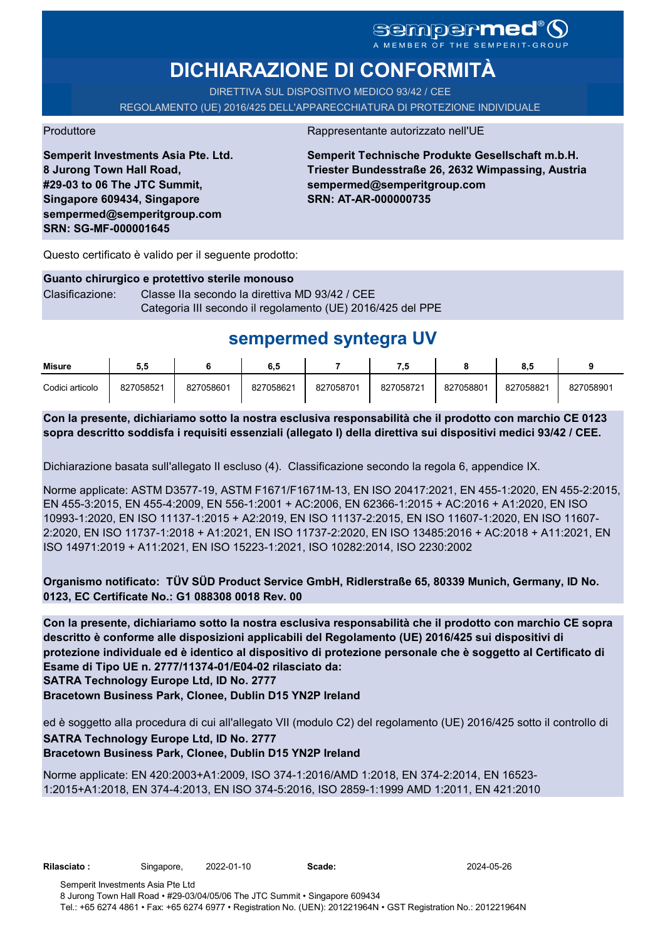# **DICHIARAZIONE DI CONFORMITÀ**

DIRETTIVA SUL DISPOSITIVO MEDICO 93/42 / CEE REGOLAMENTO (UE) 2016/425 DELL'APPARECCHIATURA DI PROTEZIONE INDIVIDUALE

Produttore Rappresentante autorizzato nell'UE

**Semperit Investments Asia Pte. Ltd. 8 Jurong Town Hall Road, #29-03 to 06 The JTC Summit, Singapore 609434, Singapore sempermed@semperitgroup.com SRN: SG-MF-000001645**

**Semperit Technische Produkte Gesellschaft m.b.H. Triester Bundesstraße 26, 2632 Wimpassing, Austria sempermed@semperitgroup.com SRN: AT-AR-000000735**

Questo certificato è valido per il seguente prodotto:

### **Guanto chirurgico e protettivo sterile monouso** Clasificazione: Classe IIa secondo la direttiva MD 93/42 / CEE Categoria III secondo il regolamento (UE) 2016/425 del PPE

# **sempermed syntegra UV**

| Misure          | ວ.ວ       |           | 6.5       |           | - 14      |           | υ.υ       |           |
|-----------------|-----------|-----------|-----------|-----------|-----------|-----------|-----------|-----------|
| Codici articolo | 827058521 | 827058601 | 827058621 | 827058701 | 827058721 | 827058801 | 827058821 | 827058901 |

**Con la presente, dichiariamo sotto la nostra esclusiva responsabilità che il prodotto con marchio CE 0123 sopra descritto soddisfa i requisiti essenziali (allegato I) della direttiva sui dispositivi medici 93/42 / CEE.**

Dichiarazione basata sull'allegato II escluso (4). Classificazione secondo la regola 6, appendice IX.

Norme applicate: ASTM D3577-19, ASTM F1671/F1671M-13, EN ISO 20417:2021, EN 455-1:2020, EN 455-2:2015, EN 455-3:2015, EN 455-4:2009, EN 556-1:2001 + AC:2006, EN 62366-1:2015 + AC:2016 + A1:2020, EN ISO 10993-1:2020, EN ISO 11137-1:2015 + A2:2019, EN ISO 11137-2:2015, EN ISO 11607-1:2020, EN ISO 11607- 2:2020, EN ISO 11737-1:2018 + A1:2021, EN ISO 11737-2:2020, EN ISO 13485:2016 + AC:2018 + A11:2021, EN ISO 14971:2019 + A11:2021, EN ISO 15223-1:2021, ISO 10282:2014, ISO 2230:2002

**Organismo notificato: TÜV SÜD Product Service GmbH, Ridlerstraße 65, 80339 Munich, Germany, ID No. 0123, EC Certificate No.: G1 088308 0018 Rev. 00** 

**SATRA Technology Europe Ltd, ID No. 2777 Con la presente, dichiariamo sotto la nostra esclusiva responsabilità che il prodotto con marchio CE sopra descritto è conforme alle disposizioni applicabili del Regolamento (UE) 2016/425 sui dispositivi di protezione individuale ed è identico al dispositivo di protezione personale che è soggetto al Certificato di Esame di Tipo UE n. 2777/11374-01/E04-02 rilasciato da:**

**Bracetown Business Park, Clonee, Dublin D15 YN2P Ireland**

ed è soggetto alla procedura di cui all'allegato VII (modulo C2) del regolamento (UE) 2016/425 sotto il controllo di **SATRA Technology Europe Ltd, ID No. 2777**

### **Bracetown Business Park, Clonee, Dublin D15 YN2P Ireland**

Norme applicate: EN 420:2003+A1:2009, ISO 374-1:2016/AMD 1:2018, EN 374-2:2014, EN 16523- 1:2015+A1:2018, EN 374-4:2013, EN ISO 374-5:2016, ISO 2859-1:1999 AMD 1:2011, EN 421:2010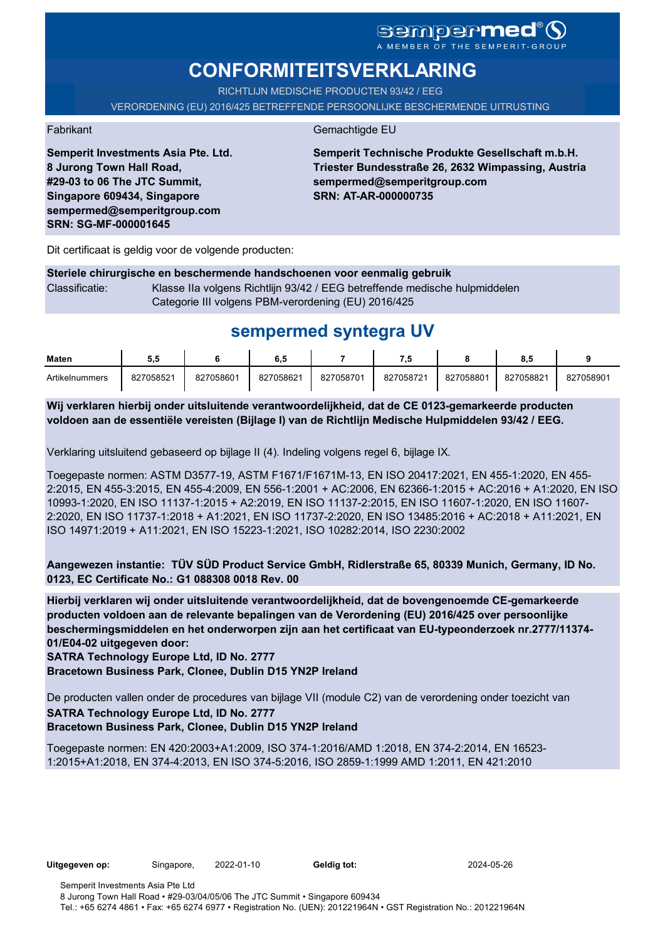# **CONFORMITEITSVERKLARING**

RICHTLIJN MEDISCHE PRODUCTEN 93/42 / EEG

VERORDENING (EU) 2016/425 BETREFFENDE PERSOONLIJKE BESCHERMENDE UITRUSTING

Fabrikant Gemachtigde EU

**Semperit Technische Produkte Gesellschaft m.b.H. Triester Bundesstraße 26, 2632 Wimpassing, Austria sempermed@semperitgroup.com SRN: AT-AR-000000735**

Dit certificaat is geldig voor de volgende producten:

**Semperit Investments Asia Pte. Ltd.**

**8 Jurong Town Hall Road, #29-03 to 06 The JTC Summit, Singapore 609434, Singapore sempermed@semperitgroup.com**

**SRN: SG-MF-000001645**

**Steriele chirurgische en beschermende handschoenen voor eenmalig gebruik** Classificatie: Klasse IIa volgens Richtlijn 93/42 / EEG betreffende medische hulpmiddelen Categorie III volgens PBM-verordening (EU) 2016/425

## **sempermed syntegra UV**

| <b>Maten</b>   | . .       |           | 6.5       |           |           |           |           |           |
|----------------|-----------|-----------|-----------|-----------|-----------|-----------|-----------|-----------|
| Artikelnummers | 827058521 | 827058601 | 827058621 | 827058701 | 827058721 | 827058801 | 827058821 | 827058901 |

**Wij verklaren hierbij onder uitsluitende verantwoordelijkheid, dat de CE 0123-gemarkeerde producten voldoen aan de essentiële vereisten (Bijlage I) van de Richtlijn Medische Hulpmiddelen 93/42 / EEG.**

Verklaring uitsluitend gebaseerd op bijlage II (4). Indeling volgens regel 6, bijlage IX.

Toegepaste normen: ASTM D3577-19, ASTM F1671/F1671M-13, EN ISO 20417:2021, EN 455-1:2020, EN 455- 2:2015, EN 455-3:2015, EN 455-4:2009, EN 556-1:2001 + AC:2006, EN 62366-1:2015 + AC:2016 + A1:2020, EN ISO 10993-1:2020, EN ISO 11137-1:2015 + A2:2019, EN ISO 11137-2:2015, EN ISO 11607-1:2020, EN ISO 11607- 2:2020, EN ISO 11737-1:2018 + A1:2021, EN ISO 11737-2:2020, EN ISO 13485:2016 + AC:2018 + A11:2021, EN ISO 14971:2019 + A11:2021, EN ISO 15223-1:2021, ISO 10282:2014, ISO 2230:2002

**Aangewezen instantie: TÜV SÜD Product Service GmbH, Ridlerstraße 65, 80339 Munich, Germany, ID No. 0123, EC Certificate No.: G1 088308 0018 Rev. 00** 

**Hierbij verklaren wij onder uitsluitende verantwoordelijkheid, dat de bovengenoemde CE-gemarkeerde producten voldoen aan de relevante bepalingen van de Verordening (EU) 2016/425 over persoonlijke beschermingsmiddelen en het onderworpen zijn aan het certificaat van EU-typeonderzoek nr.2777/11374- 01/E04-02 uitgegeven door:**

**SATRA Technology Europe Ltd, ID No. 2777**

**Bracetown Business Park, Clonee, Dublin D15 YN2P Ireland**

De producten vallen onder de procedures van bijlage VII (module C2) van de verordening onder toezicht van **SATRA Technology Europe Ltd, ID No. 2777 Bracetown Business Park, Clonee, Dublin D15 YN2P Ireland**

Toegepaste normen: EN 420:2003+A1:2009, ISO 374-1:2016/AMD 1:2018, EN 374-2:2014, EN 16523- 1:2015+A1:2018, EN 374-4:2013, EN ISO 374-5:2016, ISO 2859-1:1999 AMD 1:2011, EN 421:2010

**Uitgegeven op:** Singapore, 2022-01-10 **Geldig tot:** 2024-05-26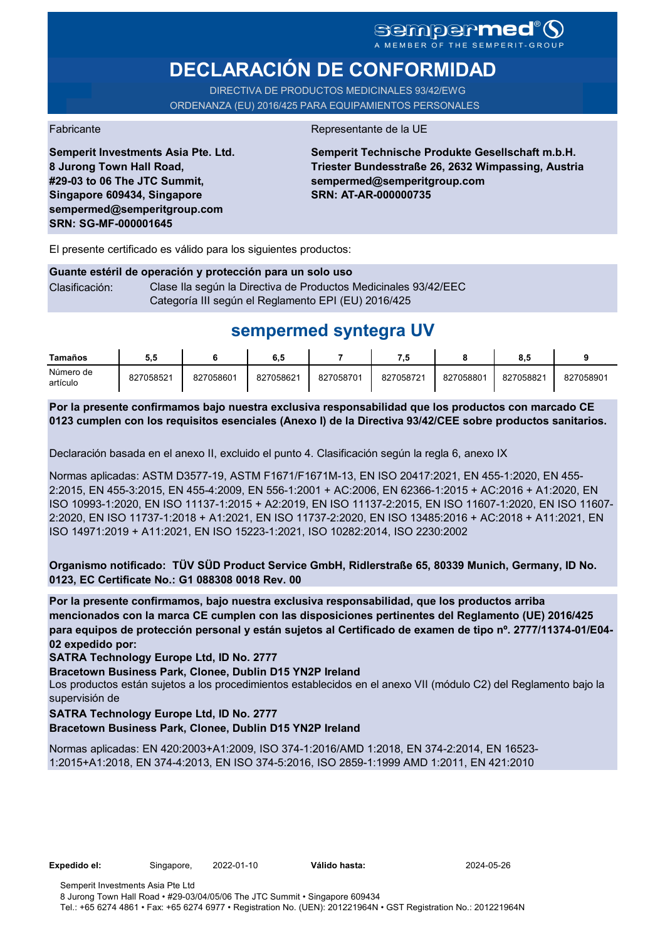# **DECLARACIÓN DE CONFORMIDAD**

DIRECTIVA DE PRODUCTOS MEDICINALES 93/42/EWG ORDENANZA (EU) 2016/425 PARA EQUIPAMIENTOS PERSONALES

**Semperit Investments Asia Pte. Ltd.**

**8 Jurong Town Hall Road, #29-03 to 06 The JTC Summit, Singapore 609434, Singapore sempermed@semperitgroup.com**

**SRN: SG-MF-000001645**

Fabricante de la UE

**Semperit Technische Produkte Gesellschaft m.b.H. Triester Bundesstraße 26, 2632 Wimpassing, Austria sempermed@semperitgroup.com SRN: AT-AR-000000735**

El presente certificado es válido para los siguientes productos:

#### **Guante estéril de operación y protección para un solo uso** Clasificación: Clase Ila según la Directiva de Productos Medicinales 93/42/EEC Categoría III según el Reglamento EPI (EU) 2016/425

## **sempermed syntegra UV**

| Tamaños               | 5.5       |           | 6,5       |           |           |           | 8.5       |           |
|-----------------------|-----------|-----------|-----------|-----------|-----------|-----------|-----------|-----------|
| Número de<br>artículo | 827058521 | 827058601 | 827058621 | 827058701 | 827058721 | 827058801 | 827058821 | 827058901 |

**Por la presente confirmamos bajo nuestra exclusiva responsabilidad que los productos con marcado CE 0123 cumplen con los requisitos esenciales (Anexo I) de la Directiva 93/42/CEE sobre productos sanitarios.**

Declaración basada en el anexo II, excluido el punto 4. Clasificación según la regla 6, anexo IX

Normas aplicadas: ASTM D3577-19, ASTM F1671/F1671M-13, EN ISO 20417:2021, EN 455-1:2020, EN 455- 2:2015, EN 455-3:2015, EN 455-4:2009, EN 556-1:2001 + AC:2006, EN 62366-1:2015 + AC:2016 + A1:2020, EN ISO 10993-1:2020, EN ISO 11137-1:2015 + A2:2019, EN ISO 11137-2:2015, EN ISO 11607-1:2020, EN ISO 11607- 2:2020, EN ISO 11737-1:2018 + A1:2021, EN ISO 11737-2:2020, EN ISO 13485:2016 + AC:2018 + A11:2021, EN ISO 14971:2019 + A11:2021, EN ISO 15223-1:2021, ISO 10282:2014, ISO 2230:2002

**Organismo notificado: TÜV SÜD Product Service GmbH, Ridlerstraße 65, 80339 Munich, Germany, ID No. 0123, EC Certificate No.: G1 088308 0018 Rev. 00** 

**Por la presente confirmamos, bajo nuestra exclusiva responsabilidad, que los productos arriba mencionados con la marca CE cumplen con las disposiciones pertinentes del Reglamento (UE) 2016/425 para equipos de protección personal y están sujetos al Certificado de examen de tipo nº. 2777/11374-01/E04- 02 expedido por:**

**SATRA Technology Europe Ltd, ID No. 2777**

**Bracetown Business Park, Clonee, Dublin D15 YN2P Ireland**

Los productos están sujetos a los procedimientos establecidos en el anexo VII (módulo C2) del Reglamento bajo la supervisión de

#### **SATRA Technology Europe Ltd, ID No. 2777**

**Bracetown Business Park, Clonee, Dublin D15 YN2P Ireland**

Normas aplicadas: EN 420:2003+A1:2009, ISO 374-1:2016/AMD 1:2018, EN 374-2:2014, EN 16523- 1:2015+A1:2018, EN 374-4:2013, EN ISO 374-5:2016, ISO 2859-1:1999 AMD 1:2011, EN 421:2010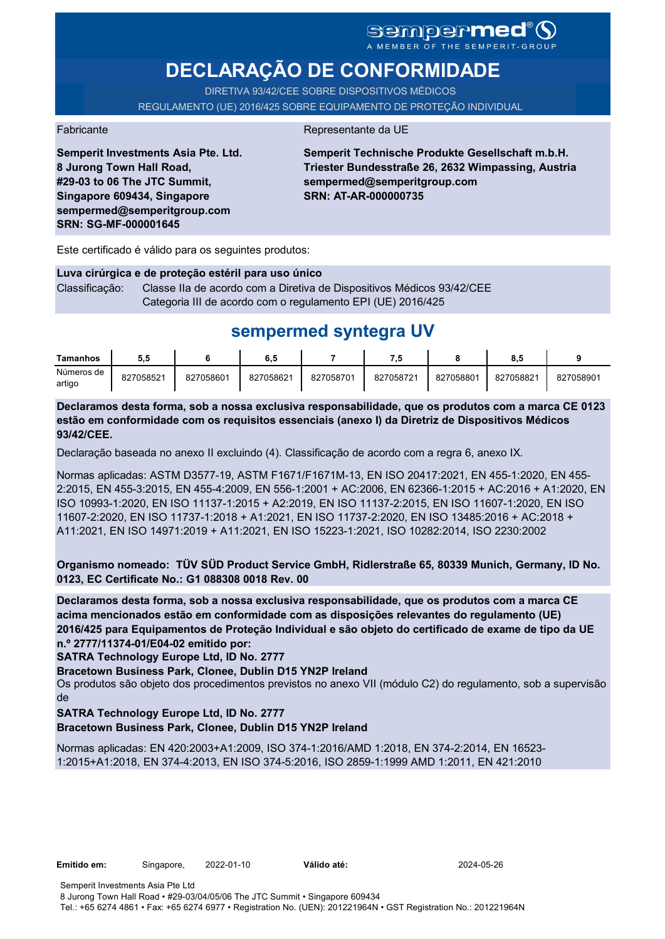# SCMPCFMCC<sup>®</sup>

# **DECLARAÇÃO DE CONFORMIDADE**

DIRETIVA 93/42/CEE SOBRE DISPOSITIVOS MÉDICOS REGULAMENTO (UE) 2016/425 SOBRE EQUIPAMENTO DE PROTEÇÃO INDIVIDUAL

#### Fabricante **Representante da UE**

**Semperit Investments Asia Pte. Ltd. 8 Jurong Town Hall Road, #29-03 to 06 The JTC Summit, Singapore 609434, Singapore sempermed@semperitgroup.com SRN: SG-MF-000001645**

**Semperit Technische Produkte Gesellschaft m.b.H. Triester Bundesstraße 26, 2632 Wimpassing, Austria sempermed@semperitgroup.com SRN: AT-AR-000000735**

Este certificado é válido para os seguintes produtos:

**Luva cirúrgica e de proteção estéril para uso único** Classificação: Classe IIa de acordo com a Diretiva de Dispositivos Médicos 93/42/CEE Categoria III de acordo com o regulamento EPI (UE) 2016/425

## **sempermed syntegra UV**

| Tamanhos             | 5.5       |           | 6.5       |           |           |           | $^{\circ}$<br>o.a |           |
|----------------------|-----------|-----------|-----------|-----------|-----------|-----------|-------------------|-----------|
| Números de<br>artigo | 827058521 | 827058601 | 827058621 | 827058701 | 827058721 | 827058801 | 827058821         | 827058901 |

**Declaramos desta forma, sob a nossa exclusiva responsabilidade, que os produtos com a marca CE 0123 estão em conformidade com os requisitos essenciais (anexo I) da Diretriz de Dispositivos Médicos 93/42/CEE.**

Declaração baseada no anexo II excluindo (4). Classificação de acordo com a regra 6, anexo IX.

Normas aplicadas: ASTM D3577-19, ASTM F1671/F1671M-13, EN ISO 20417:2021, EN 455-1:2020, EN 455- 2:2015, EN 455-3:2015, EN 455-4:2009, EN 556-1:2001 + AC:2006, EN 62366-1:2015 + AC:2016 + A1:2020, EN ISO 10993-1:2020, EN ISO 11137-1:2015 + A2:2019, EN ISO 11137-2:2015, EN ISO 11607-1:2020, EN ISO 11607-2:2020, EN ISO 11737-1:2018 + A1:2021, EN ISO 11737-2:2020, EN ISO 13485:2016 + AC:2018 + A11:2021, EN ISO 14971:2019 + A11:2021, EN ISO 15223-1:2021, ISO 10282:2014, ISO 2230:2002

**Organismo nomeado: TÜV SÜD Product Service GmbH, Ridlerstraße 65, 80339 Munich, Germany, ID No. 0123, EC Certificate No.: G1 088308 0018 Rev. 00** 

**Declaramos desta forma, sob a nossa exclusiva responsabilidade, que os produtos com a marca CE acima mencionados estão em conformidade com as disposições relevantes do regulamento (UE) 2016/425 para Equipamentos de Proteção Individual e são objeto do certificado de exame de tipo da UE n.º 2777/11374-01/E04-02 emitido por:**

**SATRA Technology Europe Ltd, ID No. 2777**

**Bracetown Business Park, Clonee, Dublin D15 YN2P Ireland**

Os produtos são objeto dos procedimentos previstos no anexo VII (módulo C2) do regulamento, sob a supervisão de

**SATRA Technology Europe Ltd, ID No. 2777**

**Bracetown Business Park, Clonee, Dublin D15 YN2P Ireland**

Normas aplicadas: EN 420:2003+A1:2009, ISO 374-1:2016/AMD 1:2018, EN 374-2:2014, EN 16523- 1:2015+A1:2018, EN 374-4:2013, EN ISO 374-5:2016, ISO 2859-1:1999 AMD 1:2011, EN 421:2010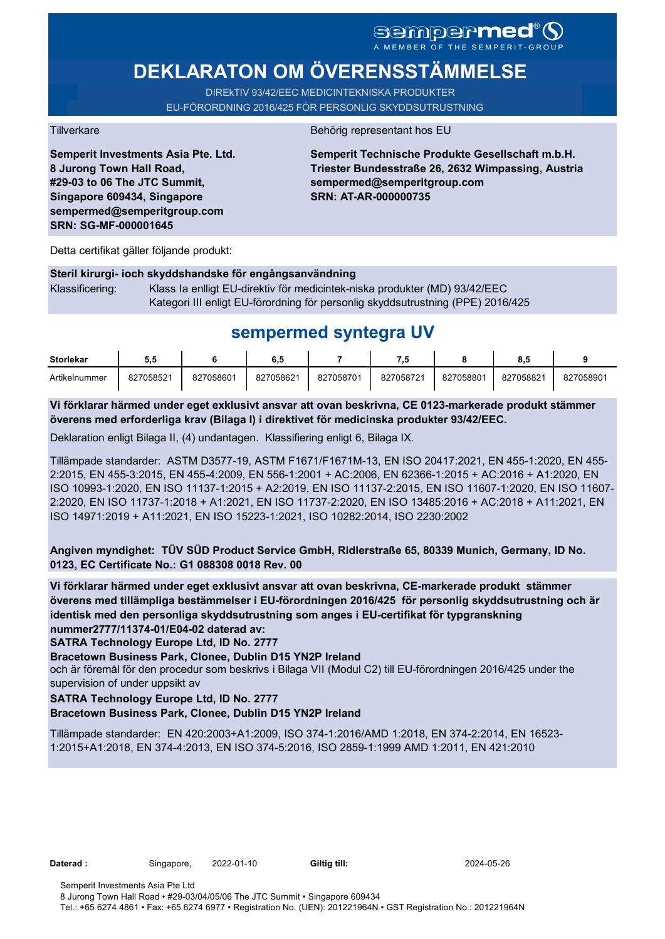# **DEKLARATON OM ÖVERENSSTÄMMELSE**

DIREkTIV 93/42/EEC MEDICINTEKNISKA PRODUKTER EU-FÖRORDNING 2016/425 FÖR PERSONLIG SKYDDSUTRUSTNING

**Semperit Investments Asia Pte. Ltd. 8 Jurong Town Hall Road, #29-03 to 06 The JTC Summit, Singapore 609434, Singapore sempermed@semperitgroup.com SRN: SG-MF-000001645**

#### Tillverkare Behörig representant hos EU

**Semperit Technische Produkte Gesellschaft m.b.H. Triester Bundesstraße 26, 2632 Wimpassing, Austria sempermed@semperitgroup.com SRN: AT-AR-000000735**

Detta certifikat gäller följande produkt:

**Steril kirurgi- ioch skyddshandske för engångsanvändning**  Klassificering: Klass Ia enlligt EU-direktiv för medicintek-niska produkter (MD) 93/42/EEC Kategori III enligt EU-förordning för personlig skyddsutrustning (PPE) 2016/425

## **sempermed syntegra UV**

| <b>Storlekar</b> | J.J       |           | 6,5       |           |           |           | o.c       |           |
|------------------|-----------|-----------|-----------|-----------|-----------|-----------|-----------|-----------|
| Artikelnummer    | 827058521 | 827058601 | 827058621 | 827058701 | 827058721 | 827058801 | 827058821 | 827058901 |

**Vi förklarar härmed under eget exklusivt ansvar att ovan beskrivna, CE 0123-markerade produkt stämmer överens med erforderliga krav (Bilaga I) i direktivet för medicinska produkter 93/42/EEC.**

Deklaration enligt Bilaga II, (4) undantagen. Klassifiering enligt 6, Bilaga IX.

Tillämpade standarder: ASTM D3577-19, ASTM F1671/F1671M-13, EN ISO 20417:2021, EN 455-1:2020, EN 455- 2:2015, EN 455-3:2015, EN 455-4:2009, EN 556-1:2001 + AC:2006, EN 62366-1:2015 + AC:2016 + A1:2020, EN ISO 10993-1:2020, EN ISO 11137-1:2015 + A2:2019, EN ISO 11137-2:2015, EN ISO 11607-1:2020, EN ISO 11607- 2:2020, EN ISO 11737-1:2018 + A1:2021, EN ISO 11737-2:2020, EN ISO 13485:2016 + AC:2018 + A11:2021, EN ISO 14971:2019 + A11:2021, EN ISO 15223-1:2021, ISO 10282:2014, ISO 2230:2002

**Angiven myndighet: TÜV SÜD Product Service GmbH, Ridlerstraße 65, 80339 Munich, Germany, ID No. 0123, EC Certificate No.: G1 088308 0018 Rev. 00** 

**Vi förklarar härmed under eget exklusivt ansvar att ovan beskrivna, CE-markerade produkt stämmer överens med tillämpliga bestämmelser i EU-förordningen 2016/425 för personlig skyddsutrustning och är identisk med den personliga skyddsutrustning som anges i EU-certifikat för typgranskning nummer2777/11374-01/E04-02 daterad av:**

**SATRA Technology Europe Ltd, ID No. 2777**

**Bracetown Business Park, Clonee, Dublin D15 YN2P Ireland**

och är föremål för den procedur som beskrivs i Bilaga VII (Modul C2) till EU-förordningen 2016/425 under the supervision of under uppsikt av

#### **SATRA Technology Europe Ltd, ID No. 2777**

#### **Bracetown Business Park, Clonee, Dublin D15 YN2P Ireland**

Tillämpade standarder: EN 420:2003+A1:2009, ISO 374-1:2016/AMD 1:2018, EN 374-2:2014, EN 16523- 1:2015+A1:2018, EN 374-4:2013, EN ISO 374-5:2016, ISO 2859-1:1999 AMD 1:2011, EN 421:2010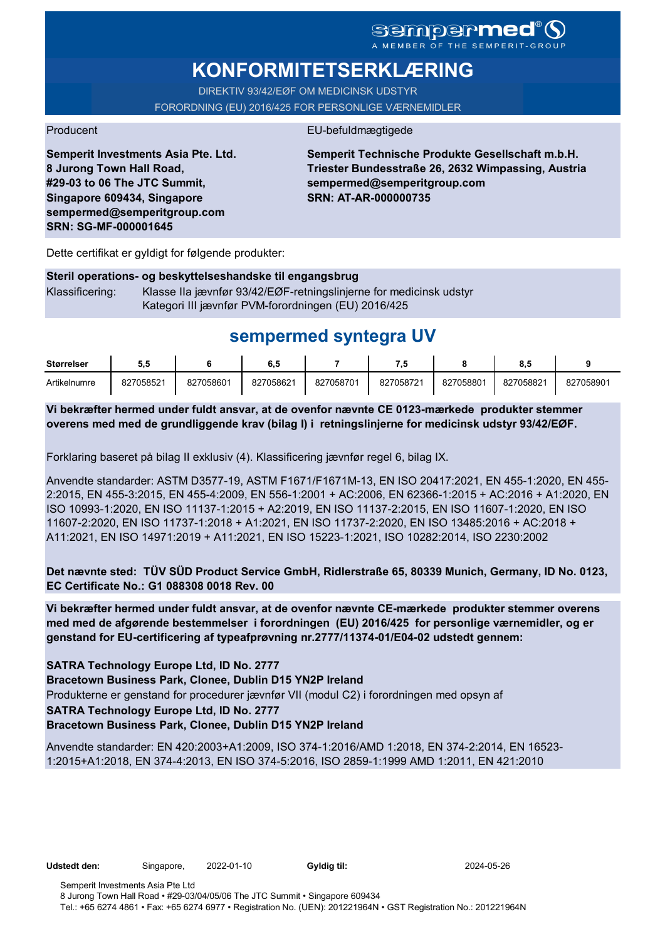# **KONFORMITETSERKLÆRING**

DIREKTIV 93/42/EØF OM MEDICINSK UDSTYR FORORDNING (EU) 2016/425 FOR PERSONLIGE VÆRNEMIDLER

### Producent EU-befuldmægtigede

**Semperit Investments Asia Pte. Ltd. 8 Jurong Town Hall Road, #29-03 to 06 The JTC Summit, Singapore 609434, Singapore sempermed@semperitgroup.com SRN: SG-MF-000001645**

**Semperit Technische Produkte Gesellschaft m.b.H. Triester Bundesstraße 26, 2632 Wimpassing, Austria sempermed@semperitgroup.com SRN: AT-AR-000000735**

Dette certifikat er gyldigt for følgende produkter:

### **Steril operations- og beskyttelseshandske til engangsbrug** Klassificering: Klasse IIa jævnfør 93/42/EØF-retningslinjerne for medicinsk udstyr Kategori III jævnfør PVM-forordningen (EU) 2016/425

# **sempermed syntegra UV**

| <b>Størrelser</b> | ບ.ບ       |           | ხ.მ       |           | . .       |           | υ.,       |           |
|-------------------|-----------|-----------|-----------|-----------|-----------|-----------|-----------|-----------|
| Artikelnumre      | 827058521 | 827058601 | 827058621 | 827058701 | 827058721 | 827058801 | 827058821 | 827058901 |

**Vi bekræfter hermed under fuldt ansvar, at de ovenfor nævnte CE 0123-mærkede produkter stemmer overens med med de grundliggende krav (bilag I) i retningslinjerne for medicinsk udstyr 93/42/EØF.**

Forklaring baseret på bilag II exklusiv (4). Klassificering jævnfør regel 6, bilag IX.

Anvendte standarder: ASTM D3577-19, ASTM F1671/F1671M-13, EN ISO 20417:2021, EN 455-1:2020, EN 455- 2:2015, EN 455-3:2015, EN 455-4:2009, EN 556-1:2001 + AC:2006, EN 62366-1:2015 + AC:2016 + A1:2020, EN ISO 10993-1:2020, EN ISO 11137-1:2015 + A2:2019, EN ISO 11137-2:2015, EN ISO 11607-1:2020, EN ISO 11607-2:2020, EN ISO 11737-1:2018 + A1:2021, EN ISO 11737-2:2020, EN ISO 13485:2016 + AC:2018 + A11:2021, EN ISO 14971:2019 + A11:2021, EN ISO 15223-1:2021, ISO 10282:2014, ISO 2230:2002

**Det nævnte sted: TÜV SÜD Product Service GmbH, Ridlerstraße 65, 80339 Munich, Germany, ID No. 0123, EC Certificate No.: G1 088308 0018 Rev. 00** 

**Vi bekræfter hermed under fuldt ansvar, at de ovenfor nævnte CE-mærkede produkter stemmer overens med med de afgørende bestemmelser i forordningen (EU) 2016/425 for personlige værnemidler, og er genstand for EU-certificering af typeafprøvning nr.2777/11374-01/E04-02 udstedt gennem:**

### **SATRA Technology Europe Ltd, ID No. 2777**

**Bracetown Business Park, Clonee, Dublin D15 YN2P Ireland**

Produkterne er genstand for procedurer jævnfør VII (modul C2) i forordningen med opsyn af

#### **SATRA Technology Europe Ltd, ID No. 2777**

**Bracetown Business Park, Clonee, Dublin D15 YN2P Ireland**

Anvendte standarder: EN 420:2003+A1:2009, ISO 374-1:2016/AMD 1:2018, EN 374-2:2014, EN 16523- 1:2015+A1:2018, EN 374-4:2013, EN ISO 374-5:2016, ISO 2859-1:1999 AMD 1:2011, EN 421:2010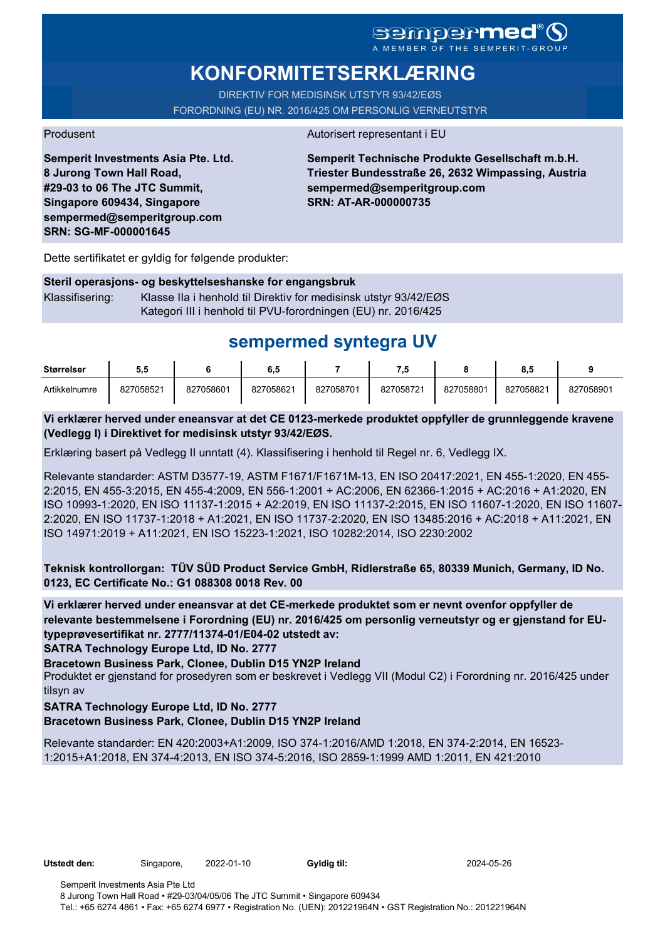# **KONFORMITETSERKLÆRING**

DIREKTIV FOR MEDISINSK UTSTYR 93/42/EØS FORORDNING (EU) NR. 2016/425 OM PERSONLIG VERNEUTSTYR

#### Produsent Autorisert representant i EU

**Semperit Investments Asia Pte. Ltd. 8 Jurong Town Hall Road, #29-03 to 06 The JTC Summit, Singapore 609434, Singapore sempermed@semperitgroup.com SRN: SG-MF-000001645**

**Semperit Technische Produkte Gesellschaft m.b.H. Triester Bundesstraße 26, 2632 Wimpassing, Austria sempermed@semperitgroup.com SRN: AT-AR-000000735**

Dette sertifikatet er gyldig for følgende produkter:

#### **Steril operasjons- og beskyttelseshanske for engangsbruk**

Klassifisering: Klasse IIa i henhold til Direktiv for medisinsk utstyr 93/42/EØS Kategori III i henhold til PVU-forordningen (EU) nr. 2016/425

## **sempermed syntegra UV**

| <b>Størrelser</b> | ນ.ບ       |           | υ         |           | - 7       |           | ö.t       |           |
|-------------------|-----------|-----------|-----------|-----------|-----------|-----------|-----------|-----------|
| Artikkelnumre     | 827058521 | 827058601 | 827058621 | 827058701 | 827058721 | 827058801 | 827058821 | 827058901 |

#### **Vi erklærer herved under eneansvar at det CE 0123-merkede produktet oppfyller de grunnleggende kravene (Vedlegg I) i Direktivet for medisinsk utstyr 93/42/EØS.**

Erklæring basert på Vedlegg II unntatt (4). Klassifisering i henhold til Regel nr. 6, Vedlegg IX.

Relevante standarder: ASTM D3577-19, ASTM F1671/F1671M-13, EN ISO 20417:2021, EN 455-1:2020, EN 455- 2:2015, EN 455-3:2015, EN 455-4:2009, EN 556-1:2001 + AC:2006, EN 62366-1:2015 + AC:2016 + A1:2020, EN ISO 10993-1:2020, EN ISO 11137-1:2015 + A2:2019, EN ISO 11137-2:2015, EN ISO 11607-1:2020, EN ISO 11607- 2:2020, EN ISO 11737-1:2018 + A1:2021, EN ISO 11737-2:2020, EN ISO 13485:2016 + AC:2018 + A11:2021, EN ISO 14971:2019 + A11:2021, EN ISO 15223-1:2021, ISO 10282:2014, ISO 2230:2002

**Teknisk kontrollorgan: TÜV SÜD Product Service GmbH, Ridlerstraße 65, 80339 Munich, Germany, ID No. 0123, EC Certificate No.: G1 088308 0018 Rev. 00** 

**Vi erklærer herved under eneansvar at det CE-merkede produktet som er nevnt ovenfor oppfyller de relevante bestemmelsene i Forordning (EU) nr. 2016/425 om personlig verneutstyr og er gjenstand for EUtypeprøvesertifikat nr. 2777/11374-01/E04-02 utstedt av:**

**SATRA Technology Europe Ltd, ID No. 2777**

**Bracetown Business Park, Clonee, Dublin D15 YN2P Ireland**

Produktet er gjenstand for prosedyren som er beskrevet i Vedlegg VII (Modul C2) i Forordning nr. 2016/425 under tilsyn av

#### **SATRA Technology Europe Ltd, ID No. 2777**

**Bracetown Business Park, Clonee, Dublin D15 YN2P Ireland**

Relevante standarder: EN 420:2003+A1:2009, ISO 374-1:2016/AMD 1:2018, EN 374-2:2014, EN 16523- 1:2015+A1:2018, EN 374-4:2013, EN ISO 374-5:2016, ISO 2859-1:1999 AMD 1:2011, EN 421:2010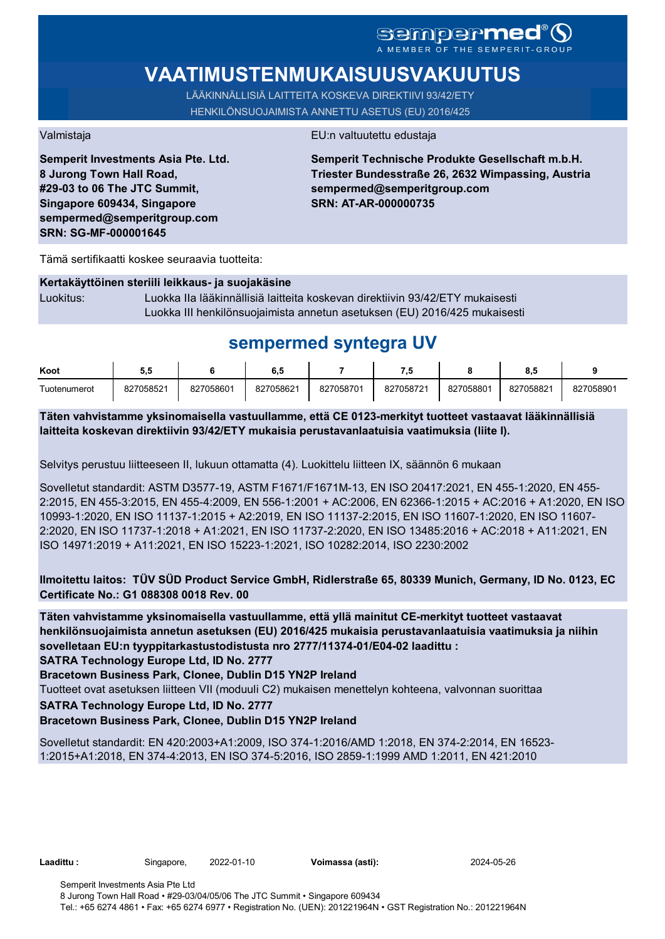# SCMDOCPMCO

# **VAATIMUSTENMUKAISUUSVAKUUTUS**

LÄÄKINNÄLLISIÄ LAITTEITA KOSKEVA DIREKTIIVI 93/42/ETY HENKILÖNSUOJAIMISTA ANNETTU ASETUS (EU) 2016/425

**Semperit Investments Asia Pte. Ltd. 8 Jurong Town Hall Road, #29-03 to 06 The JTC Summit, Singapore 609434, Singapore sempermed@semperitgroup.com SRN: SG-MF-000001645**

#### Valmistaja EU:n valtuutettu edustaja

**Semperit Technische Produkte Gesellschaft m.b.H. Triester Bundesstraße 26, 2632 Wimpassing, Austria sempermed@semperitgroup.com SRN: AT-AR-000000735**

Tämä sertifikaatti koskee seuraavia tuotteita:

#### **Kertakäyttöinen steriili leikkaus- ja suojakäsine**

Luokitus: Luokka IIa lääkinnällisiä laitteita koskevan direktiivin 93/42/ETY mukaisesti Luokka III henkilönsuojaimista annetun asetuksen (EU) 2016/425 mukaisesti

## **sempermed syntegra UV**

| Koot         | J.        |           | 6.5       |           | - 7       |           | υ.,       |           |
|--------------|-----------|-----------|-----------|-----------|-----------|-----------|-----------|-----------|
| Tuotenumerot | 827058521 | 827058601 | 827058621 | 827058701 | 827058721 | 827058801 | 827058821 | 827058901 |

**Täten vahvistamme yksinomaisella vastuullamme, että CE 0123-merkityt tuotteet vastaavat lääkinnällisiä laitteita koskevan direktiivin 93/42/ETY mukaisia perustavanlaatuisia vaatimuksia (liite I).**

Selvitys perustuu liitteeseen II, lukuun ottamatta (4). Luokittelu liitteen IX, säännön 6 mukaan

Sovelletut standardit: ASTM D3577-19, ASTM F1671/F1671M-13, EN ISO 20417:2021, EN 455-1:2020, EN 455- 2:2015, EN 455-3:2015, EN 455-4:2009, EN 556-1:2001 + AC:2006, EN 62366-1:2015 + AC:2016 + A1:2020, EN ISO 10993-1:2020, EN ISO 11137-1:2015 + A2:2019, EN ISO 11137-2:2015, EN ISO 11607-1:2020, EN ISO 11607- 2:2020, EN ISO 11737-1:2018 + A1:2021, EN ISO 11737-2:2020, EN ISO 13485:2016 + AC:2018 + A11:2021, EN ISO 14971:2019 + A11:2021, EN ISO 15223-1:2021, ISO 10282:2014, ISO 2230:2002

### **Ilmoitettu laitos: TÜV SÜD Product Service GmbH, Ridlerstraße 65, 80339 Munich, Germany, ID No. 0123, EC Certificate No.: G1 088308 0018 Rev. 00**

**Täten vahvistamme yksinomaisella vastuullamme, että yllä mainitut CE-merkityt tuotteet vastaavat henkilönsuojaimista annetun asetuksen (EU) 2016/425 mukaisia perustavanlaatuisia vaatimuksia ja niihin sovelletaan EU:n tyyppitarkastustodistusta nro 2777/11374-01/E04-02 laadittu :**

**SATRA Technology Europe Ltd, ID No. 2777**

**Bracetown Business Park, Clonee, Dublin D15 YN2P Ireland**

Tuotteet ovat asetuksen liitteen VII (moduuli C2) mukaisen menettelyn kohteena, valvonnan suorittaa

**SATRA Technology Europe Ltd, ID No. 2777**

#### **Bracetown Business Park, Clonee, Dublin D15 YN2P Ireland**

Sovelletut standardit: EN 420:2003+A1:2009, ISO 374-1:2016/AMD 1:2018, EN 374-2:2014, EN 16523- 1:2015+A1:2018, EN 374-4:2013, EN ISO 374-5:2016, ISO 2859-1:1999 AMD 1:2011, EN 421:2010

**Laadittu :** Singapore, 2022-01-10 **Voimassa (asti):** 2024-05-26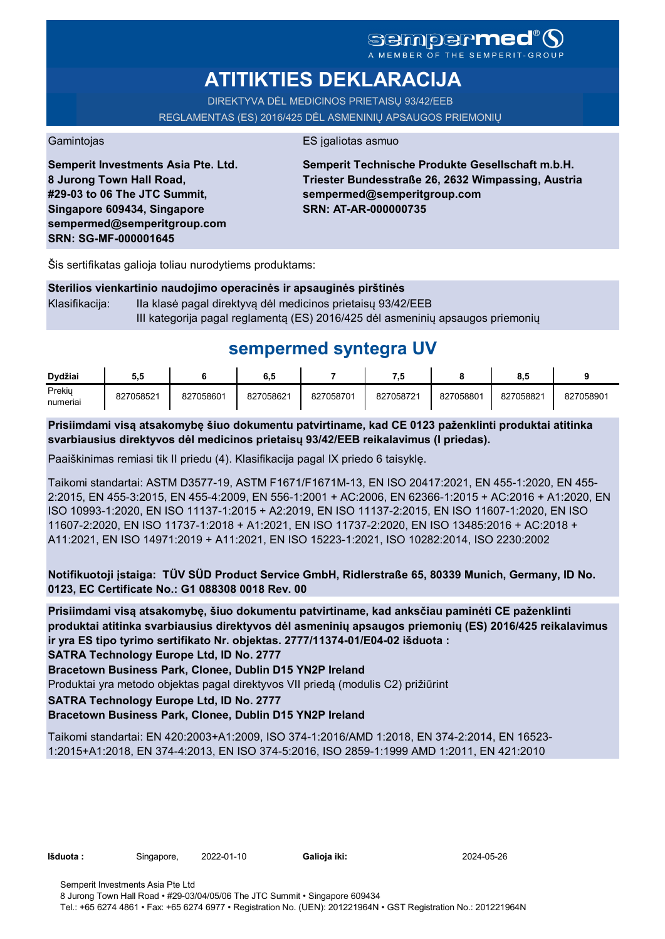# **ATITIKTIES DEKLARACIJA**

DIREKTYVA DĖL MEDICINOS PRIETAISŲ 93/42/EEB REGLAMENTAS (ES) 2016/425 DĖL ASMENINIŲ APSAUGOS PRIEMONIŲ

Gamintojas **ES** įgaliotas asmuo

**Semperit Investments Asia Pte. Ltd. 8 Jurong Town Hall Road, #29-03 to 06 The JTC Summit, Singapore 609434, Singapore sempermed@semperitgroup.com SRN: SG-MF-000001645**

**Semperit Technische Produkte Gesellschaft m.b.H. Triester Bundesstraße 26, 2632 Wimpassing, Austria sempermed@semperitgroup.com SRN: AT-AR-000000735**

Šis sertifikatas galioja toliau nurodytiems produktams:

| Sterilios vienkartinio naudojimo operacinės ir apsauginės pirštinės |                                                                                |  |  |  |  |
|---------------------------------------------------------------------|--------------------------------------------------------------------------------|--|--|--|--|
| Klasifikaciia: l                                                    | Ila klasė pagal direktyvą dėl medicinos prietaisu 93/42/EEB                    |  |  |  |  |
|                                                                     | III kategorija pagal reglamentą (ES) 2016/425 dėl asmeninių apsaugos priemonių |  |  |  |  |

# **sempermed syntegra UV**

| Dvdžiai            | ວ.ວ       |           | o.a       |           | ن ،       |           | ο.,       |           |
|--------------------|-----------|-----------|-----------|-----------|-----------|-----------|-----------|-----------|
| Prekiy<br>numeriai | 827058521 | 827058601 | 827058621 | 827058701 | 827058721 | 827058801 | 827058821 | 827058901 |

**Prisiimdami visą atsakomybę šiuo dokumentu patvirtiname, kad CE 0123 paženklinti produktai atitinka svarbiausius direktyvos dėl medicinos prietaisų 93/42/EEB reikalavimus (I priedas).**

Paaiškinimas remiasi tik II priedu (4). Klasifikacija pagal IX priedo 6 taisyklę.

Taikomi standartai: ASTM D3577-19, ASTM F1671/F1671M-13, EN ISO 20417:2021, EN 455-1:2020, EN 455- 2:2015, EN 455-3:2015, EN 455-4:2009, EN 556-1:2001 + AC:2006, EN 62366-1:2015 + AC:2016 + A1:2020, EN ISO 10993-1:2020, EN ISO 11137-1:2015 + A2:2019, EN ISO 11137-2:2015, EN ISO 11607-1:2020, EN ISO 11607-2:2020, EN ISO 11737-1:2018 + A1:2021, EN ISO 11737-2:2020, EN ISO 13485:2016 + AC:2018 + A11:2021, EN ISO 14971:2019 + A11:2021, EN ISO 15223-1:2021, ISO 10282:2014, ISO 2230:2002

**Notifikuotoji įstaiga: TÜV SÜD Product Service GmbH, Ridlerstraße 65, 80339 Munich, Germany, ID No. 0123, EC Certificate No.: G1 088308 0018 Rev. 00** 

**Prisiimdami visą atsakomybę, šiuo dokumentu patvirtiname, kad anksčiau paminėti CE paženklinti produktai atitinka svarbiausius direktyvos dėl asmeninių apsaugos priemonių (ES) 2016/425 reikalavimus ir yra ES tipo tyrimo sertifikato Nr. objektas. 2777/11374-01/E04-02 išduota :**

**SATRA Technology Europe Ltd, ID No. 2777**

**Bracetown Business Park, Clonee, Dublin D15 YN2P Ireland**

Produktai yra metodo objektas pagal direktyvos VII priedą (modulis C2) prižiūrint

**SATRA Technology Europe Ltd, ID No. 2777**

### **Bracetown Business Park, Clonee, Dublin D15 YN2P Ireland**

Taikomi standartai: EN 420:2003+A1:2009, ISO 374-1:2016/AMD 1:2018, EN 374-2:2014, EN 16523- 1:2015+A1:2018, EN 374-4:2013, EN ISO 374-5:2016, ISO 2859-1:1999 AMD 1:2011, EN 421:2010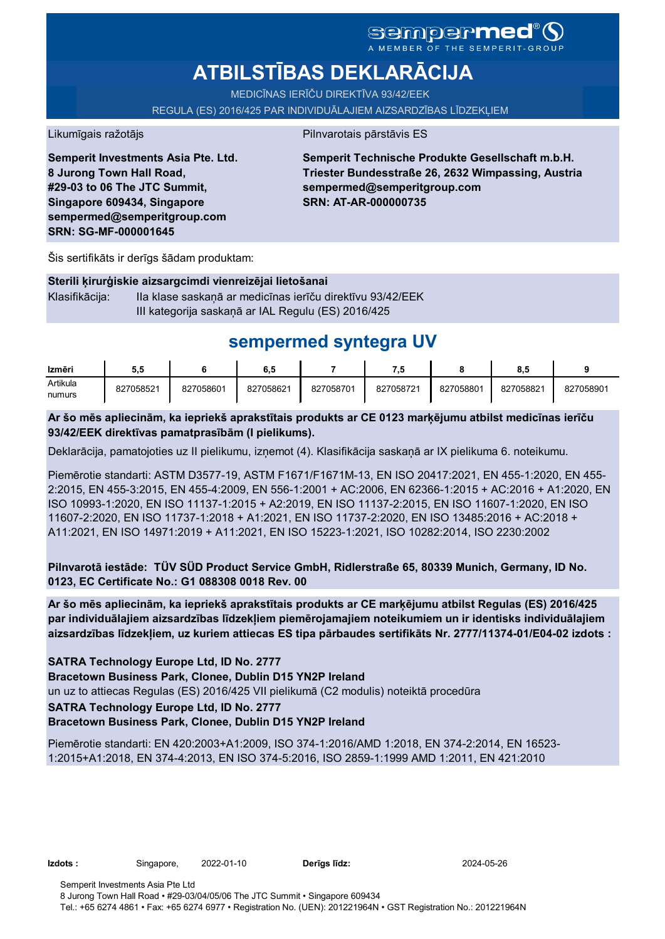# **ATBILSTĪBAS DEKLARĀCIJA**

MEDICĪNAS IERĪČU DIREKTĪVA 93/42/EEK

REGULA (ES) 2016/425 PAR INDIVIDUĀLAJIEM AIZSARDZĪBAS LĪDZEKĻIEM

Likumīgais ražotājs **Pilnvarotais pārstāvis ES** 

**Semperit Investments Asia Pte. Ltd. 8 Jurong Town Hall Road, #29-03 to 06 The JTC Summit, Singapore 609434, Singapore sempermed@semperitgroup.com SRN: SG-MF-000001645**

**Semperit Technische Produkte Gesellschaft m.b.H. Triester Bundesstraße 26, 2632 Wimpassing, Austria sempermed@semperitgroup.com SRN: AT-AR-000000735**

Šis sertifikāts ir derīgs šādam produktam:

#### **Sterili ķirurģiskie aizsargcimdi vienreizējai lietošanai**

Klasifikācija: IIa klase saskaņā ar medicīnas ierīču direktīvu 93/42/EEK III kategorija saskaņā ar IAL Regulu (ES) 2016/425

## **sempermed syntegra UV**

| Izmēri   | 5.5       |           | o.o       |           | ۰.        |           | $^{\circ}$<br>o.a |           |
|----------|-----------|-----------|-----------|-----------|-----------|-----------|-------------------|-----------|
| Artikula | 827058521 | 827058601 | 827058621 | 827058701 | 827058721 | 827058801 | 827058821         | 827058901 |
| numurs   |           |           |           |           |           |           |                   |           |

**Ar šo mēs apliecinām, ka iepriekš aprakstītais produkts ar CE 0123 marķējumu atbilst medicīnas ierīču 93/42/EEK direktīvas pamatprasībām (I pielikums).**

Deklarācija, pamatojoties uz II pielikumu, izņemot (4). Klasifikācija saskaņā ar IX pielikuma 6. noteikumu.

Piemērotie standarti: ASTM D3577-19, ASTM F1671/F1671M-13, EN ISO 20417:2021, EN 455-1:2020, EN 455- 2:2015, EN 455-3:2015, EN 455-4:2009, EN 556-1:2001 + AC:2006, EN 62366-1:2015 + AC:2016 + A1:2020, EN ISO 10993-1:2020, EN ISO 11137-1:2015 + A2:2019, EN ISO 11137-2:2015, EN ISO 11607-1:2020, EN ISO 11607-2:2020, EN ISO 11737-1:2018 + A1:2021, EN ISO 11737-2:2020, EN ISO 13485:2016 + AC:2018 + A11:2021, EN ISO 14971:2019 + A11:2021, EN ISO 15223-1:2021, ISO 10282:2014, ISO 2230:2002

**Pilnvarotā iestāde: TÜV SÜD Product Service GmbH, Ridlerstraße 65, 80339 Munich, Germany, ID No. 0123, EC Certificate No.: G1 088308 0018 Rev. 00** 

**Ar šo mēs apliecinām, ka iepriekš aprakstītais produkts ar CE marķējumu atbilst Regulas (ES) 2016/425 par individuālajiem aizsardzības līdzekļiem piemērojamajiem noteikumiem un ir identisks individuālajiem aizsardzības līdzekļiem, uz kuriem attiecas ES tipa pārbaudes sertifikāts Nr. 2777/11374-01/E04-02 izdots :**

**SATRA Technology Europe Ltd, ID No. 2777**

**Bracetown Business Park, Clonee, Dublin D15 YN2P Ireland**

un uz to attiecas Regulas (ES) 2016/425 VII pielikumā (C2 modulis) noteiktā procedūra

#### **SATRA Technology Europe Ltd, ID No. 2777**

#### **Bracetown Business Park, Clonee, Dublin D15 YN2P Ireland**

Piemērotie standarti: EN 420:2003+A1:2009, ISO 374-1:2016/AMD 1:2018, EN 374-2:2014, EN 16523- 1:2015+A1:2018, EN 374-4:2013, EN ISO 374-5:2016, ISO 2859-1:1999 AMD 1:2011, EN 421:2010

**Izdots :** Singapore, 2022-01-10 **Derīgs līdz:** 2024-05-26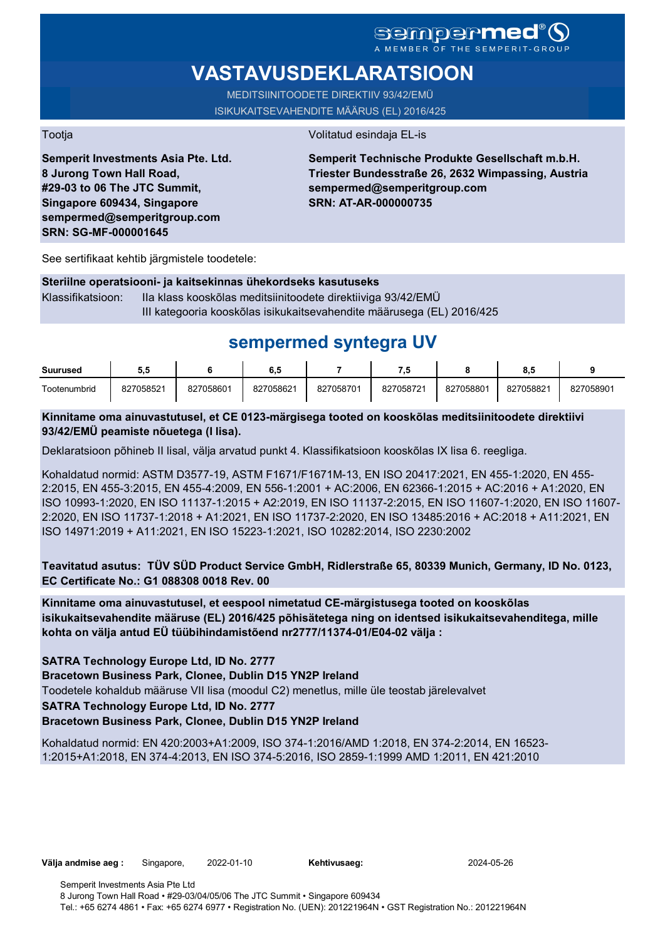# **VASTAVUSDEKLARATSIOON**

MEDITSIINITOODETE DIREKTIIV 93/42/EMÜ ISIKUKAITSEVAHENDITE MÄÄRUS (EL) 2016/425

Tootja Volitatud esindaja EL-is

**Semperit Investments Asia Pte. Ltd. 8 Jurong Town Hall Road, #29-03 to 06 The JTC Summit, Singapore 609434, Singapore sempermed@semperitgroup.com SRN: SG-MF-000001645**

### **Semperit Technische Produkte Gesellschaft m.b.H. Triester Bundesstraße 26, 2632 Wimpassing, Austria sempermed@semperitgroup.com SRN: AT-AR-000000735**

See sertifikaat kehtib järgmistele toodetele:

#### **Steriilne operatsiooni- ja kaitsekinnas ühekordseks kasutuseks**

Klassifikatsioon: IIa klass kooskõlas meditsiinitoodete direktiiviga 93/42/EMÜ III kategooria kooskõlas isikukaitsevahendite määrusega (EL) 2016/425

# **sempermed syntegra UV**

| <b>Suurused</b> | ວ.ະ       |           | 6,5       |           | п.        |           | o.a       |           |
|-----------------|-----------|-----------|-----------|-----------|-----------|-----------|-----------|-----------|
| Tootenumbrid    | 827058521 | 827058601 | 827058621 | 827058701 | 827058721 | 827058801 | 827058821 | 827058901 |

### **Kinnitame oma ainuvastutusel, et CE 0123-märgisega tooted on kooskõlas meditsiinitoodete direktiivi 93/42/EMÜ peamiste nõuetega (I lisa).**

Deklaratsioon põhineb II lisal, välja arvatud punkt 4. Klassifikatsioon kooskõlas IX lisa 6. reegliga.

Kohaldatud normid: ASTM D3577-19, ASTM F1671/F1671M-13, EN ISO 20417:2021, EN 455-1:2020, EN 455- 2:2015, EN 455-3:2015, EN 455-4:2009, EN 556-1:2001 + AC:2006, EN 62366-1:2015 + AC:2016 + A1:2020, EN ISO 10993-1:2020, EN ISO 11137-1:2015 + A2:2019, EN ISO 11137-2:2015, EN ISO 11607-1:2020, EN ISO 11607- 2:2020, EN ISO 11737-1:2018 + A1:2021, EN ISO 11737-2:2020, EN ISO 13485:2016 + AC:2018 + A11:2021, EN ISO 14971:2019 + A11:2021, EN ISO 15223-1:2021, ISO 10282:2014, ISO 2230:2002

**Teavitatud asutus: TÜV SÜD Product Service GmbH, Ridlerstraße 65, 80339 Munich, Germany, ID No. 0123, EC Certificate No.: G1 088308 0018 Rev. 00** 

**Kinnitame oma ainuvastutusel, et eespool nimetatud CE-märgistusega tooted on kooskõlas isikukaitsevahendite määruse (EL) 2016/425 põhisätetega ning on identsed isikukaitsevahenditega, mille kohta on välja antud EÜ tüübihindamistõend nr2777/11374-01/E04-02 välja :**

**SATRA Technology Europe Ltd, ID No. 2777**

**Bracetown Business Park, Clonee, Dublin D15 YN2P Ireland**

Toodetele kohaldub määruse VII lisa (moodul C2) menetlus, mille üle teostab järelevalvet

**SATRA Technology Europe Ltd, ID No. 2777**

### **Bracetown Business Park, Clonee, Dublin D15 YN2P Ireland**

Kohaldatud normid: EN 420:2003+A1:2009, ISO 374-1:2016/AMD 1:2018, EN 374-2:2014, EN 16523- 1:2015+A1:2018, EN 374-4:2013, EN ISO 374-5:2016, ISO 2859-1:1999 AMD 1:2011, EN 421:2010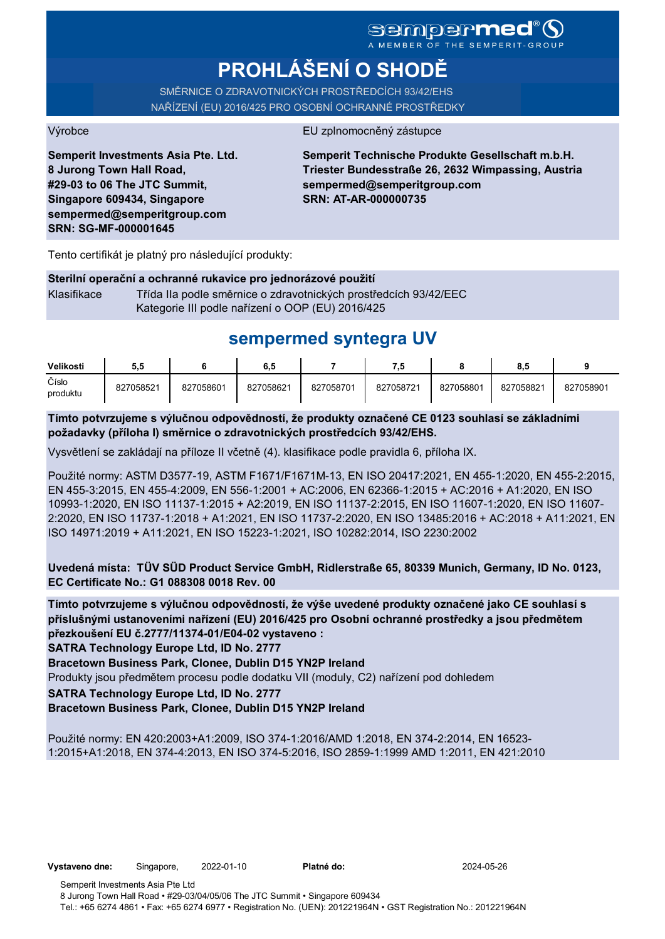# **PROHLÁŠENÍ O SHODĚ**

SMĚRNICE O ZDRAVOTNICKÝCH PROSTŘEDCÍCH 93/42/EHS NAŘÍZENÍ (EU) 2016/425 PRO OSOBNÍ OCHRANNÉ PROSTŘEDKY

#### Výrobce EU zplnomocněný zástupce

**Semperit Investments Asia Pte. Ltd. 8 Jurong Town Hall Road, #29-03 to 06 The JTC Summit, Singapore 609434, Singapore sempermed@semperitgroup.com SRN: SG-MF-000001645**

**Semperit Technische Produkte Gesellschaft m.b.H. Triester Bundesstraße 26, 2632 Wimpassing, Austria sempermed@semperitgroup.com SRN: AT-AR-000000735**

Tento certifikát je platný pro následující produkty:

#### **Sterilní operační a ochranné rukavice pro jednorázové použití**

Klasifikace Třída IIa podle směrnice o zdravotnických prostředcích 93/42/EEC Kategorie III podle nařízení o OOP (EU) 2016/425

# **sempermed syntegra UV**

| Velikosti         | ວ.ວ       |           | 0. J      |           |           |           | 8.5       |           |
|-------------------|-----------|-----------|-----------|-----------|-----------|-----------|-----------|-----------|
| Číslo<br>produktu | 827058521 | 827058601 | 827058621 | 827058701 | 827058721 | 827058801 | 827058821 | 827058901 |

**Tímto potvrzujeme s výlučnou odpovědností, že produkty označené CE 0123 souhlasí se základními požadavky (příloha I) směrnice o zdravotnických prostředcích 93/42/EHS.**

Vysvětlení se zakládají na příloze II včetně (4). klasifikace podle pravidla 6, příloha IX.

Použité normy: ASTM D3577-19, ASTM F1671/F1671M-13, EN ISO 20417:2021, EN 455-1:2020, EN 455-2:2015, EN 455-3:2015, EN 455-4:2009, EN 556-1:2001 + AC:2006, EN 62366-1:2015 + AC:2016 + A1:2020, EN ISO 10993-1:2020, EN ISO 11137-1:2015 + A2:2019, EN ISO 11137-2:2015, EN ISO 11607-1:2020, EN ISO 11607- 2:2020, EN ISO 11737-1:2018 + A1:2021, EN ISO 11737-2:2020, EN ISO 13485:2016 + AC:2018 + A11:2021, EN ISO 14971:2019 + A11:2021, EN ISO 15223-1:2021, ISO 10282:2014, ISO 2230:2002

**Uvedená místa: TÜV SÜD Product Service GmbH, Ridlerstraße 65, 80339 Munich, Germany, ID No. 0123, EC Certificate No.: G1 088308 0018 Rev. 00** 

**Tímto potvrzujeme s výlučnou odpovědností, že výše uvedené produkty označené jako CE souhlasí s příslušnými ustanoveními nařízení (EU) 2016/425 pro Osobní ochranné prostředky a jsou předmětem přezkoušení EU č.2777/11374-01/E04-02 vystaveno :**

**SATRA Technology Europe Ltd, ID No. 2777**

**Bracetown Business Park, Clonee, Dublin D15 YN2P Ireland**

Produkty jsou předmětem procesu podle dodatku VII (moduly, C2) nařízení pod dohledem

**SATRA Technology Europe Ltd, ID No. 2777**

**Bracetown Business Park, Clonee, Dublin D15 YN2P Ireland**

Použité normy: EN 420:2003+A1:2009, ISO 374-1:2016/AMD 1:2018, EN 374-2:2014, EN 16523- 1:2015+A1:2018, EN 374-4:2013, EN ISO 374-5:2016, ISO 2859-1:1999 AMD 1:2011, EN 421:2010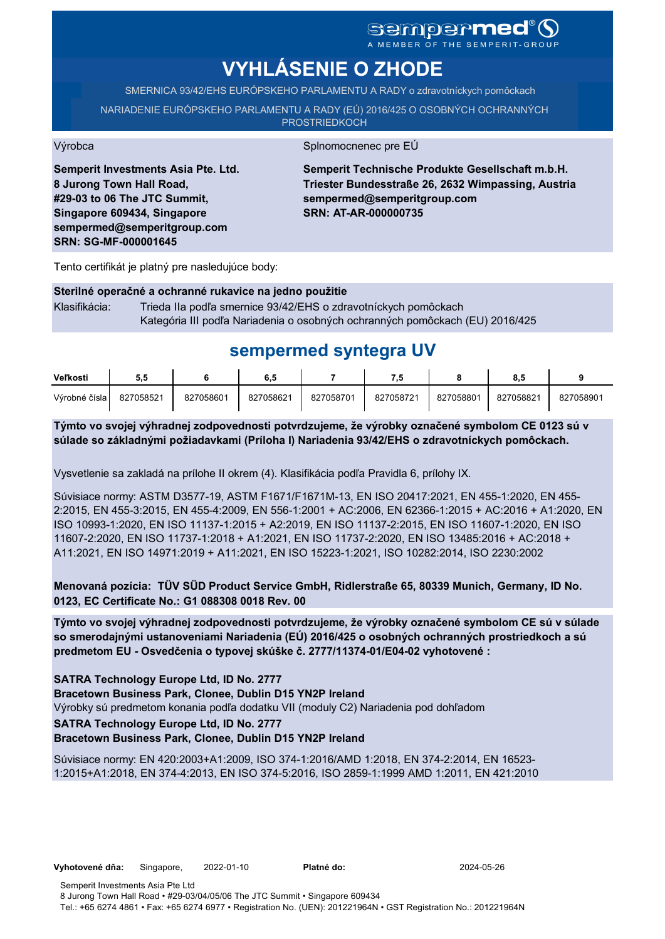# sempermed<sup>®</sup>Q

A MEMBER OF THE SEMPERIT-GROUP

# **VYHLÁSENIE O ZHODE**

SMERNICA 93/42/EHS EURÓPSKEHO PARLAMENTU A RADY o zdravotníckych pomôckach

NARIADENIE EURÓPSKEHO PARLAMENTU A RADY (EÚ) 2016/425 O OSOBNÝCH OCHRANNÝCH **PROSTRIEDKOCH** 

Výrobca Splnomocnenec pre EÚ

**Semperit Investments Asia Pte. Ltd. 8 Jurong Town Hall Road, #29-03 to 06 The JTC Summit, Singapore 609434, Singapore sempermed@semperitgroup.com SRN: SG-MF-000001645**

**Semperit Technische Produkte Gesellschaft m.b.H. Triester Bundesstraße 26, 2632 Wimpassing, Austria sempermed@semperitgroup.com SRN: AT-AR-000000735**

Tento certifikát je platný pre nasledujúce body:

#### **Sterilné operačné a ochranné rukavice na jedno použitie**

Klasifikácia: Trieda IIa podľa smernice 93/42/EHS o zdravotníckych pomôckach Kategória III podľa Nariadenia o osobných ochranných pomôckach (EU) 2016/425

## **sempermed syntegra UV**

| Veľkosti      | ວ.ວ       |           | 6.5       |           | 7.5       |           |           |           |
|---------------|-----------|-----------|-----------|-----------|-----------|-----------|-----------|-----------|
| Výrobné čísla | 827058521 | 827058601 | 827058621 | 827058701 | 827058721 | 827058801 | 827058821 | 827058901 |

**Týmto vo svojej výhradnej zodpovednosti potvrdzujeme, že výrobky označené symbolom CE 0123 sú v súlade so základnými požiadavkami (Príloha I) Nariadenia 93/42/EHS o zdravotníckych pomôckach.**

Vysvetlenie sa zakladá na prílohe II okrem (4). Klasifikácia podľa Pravidla 6, prílohy IX.

Súvisiace normy: ASTM D3577-19, ASTM F1671/F1671M-13, EN ISO 20417:2021, EN 455-1:2020, EN 455- 2:2015, EN 455-3:2015, EN 455-4:2009, EN 556-1:2001 + AC:2006, EN 62366-1:2015 + AC:2016 + A1:2020, EN ISO 10993-1:2020, EN ISO 11137-1:2015 + A2:2019, EN ISO 11137-2:2015, EN ISO 11607-1:2020, EN ISO 11607-2:2020, EN ISO 11737-1:2018 + A1:2021, EN ISO 11737-2:2020, EN ISO 13485:2016 + AC:2018 + A11:2021, EN ISO 14971:2019 + A11:2021, EN ISO 15223-1:2021, ISO 10282:2014, ISO 2230:2002

**Menovaná pozícia: TÜV SÜD Product Service GmbH, Ridlerstraße 65, 80339 Munich, Germany, ID No. 0123, EC Certificate No.: G1 088308 0018 Rev. 00** 

**Týmto vo svojej výhradnej zodpovednosti potvrdzujeme, že výrobky označené symbolom CE sú v súlade so smerodajnými ustanoveniami Nariadenia (EÚ) 2016/425 o osobných ochranných prostriedkoch a sú predmetom EU - Osvedčenia o typovej skúške č. 2777/11374-01/E04-02 vyhotovené :**

**SATRA Technology Europe Ltd, ID No. 2777**

**Bracetown Business Park, Clonee, Dublin D15 YN2P Ireland**

Výrobky sú predmetom konania podľa dodatku VII (moduly C2) Nariadenia pod dohľadom

**SATRA Technology Europe Ltd, ID No. 2777**

#### **Bracetown Business Park, Clonee, Dublin D15 YN2P Ireland**

Súvisiace normy: EN 420:2003+A1:2009, ISO 374-1:2016/AMD 1:2018, EN 374-2:2014, EN 16523- 1:2015+A1:2018, EN 374-4:2013, EN ISO 374-5:2016, ISO 2859-1:1999 AMD 1:2011, EN 421:2010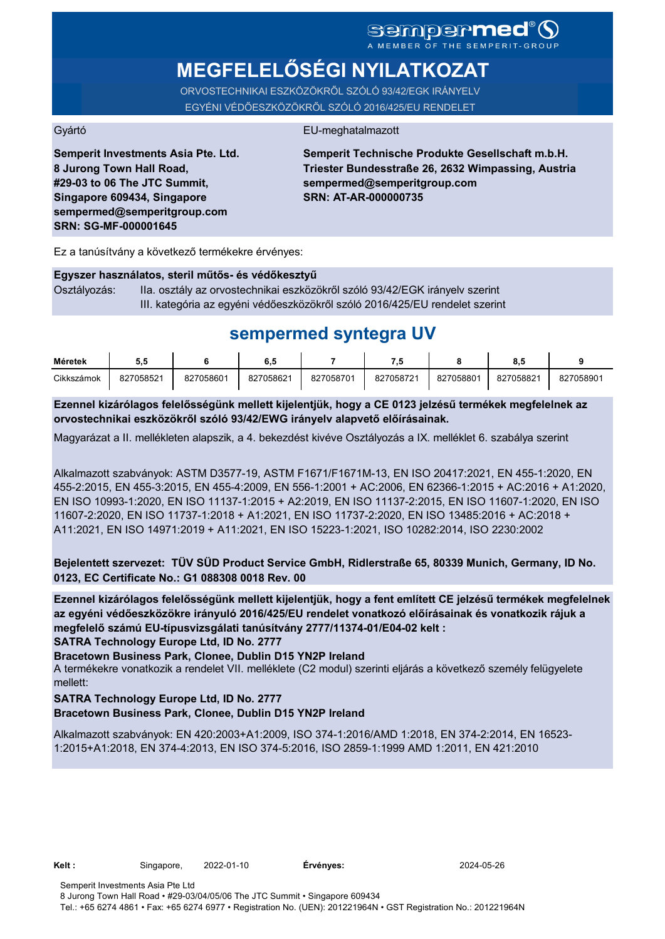# **MEGFELELŐSÉGI NYILATKOZAT**

ORVOSTECHNIKAI ESZKÖZÖKRŐL SZÓLÓ 93/42/EGK IRÁNYELV EGYÉNI VÉDŐESZKÖZÖKRŐL SZÓLÓ 2016/425/EU RENDELET

#### Gyártó EU-meghatalmazott

**Semperit Investments Asia Pte. Ltd. 8 Jurong Town Hall Road, #29-03 to 06 The JTC Summit, Singapore 609434, Singapore sempermed@semperitgroup.com SRN: SG-MF-000001645**

**Semperit Technische Produkte Gesellschaft m.b.H. Triester Bundesstraße 26, 2632 Wimpassing, Austria sempermed@semperitgroup.com SRN: AT-AR-000000735**

Ez a tanúsítvány a következő termékekre érvényes:

#### **Egyszer használatos, steril műtős- és védőkesztyű**

Osztályozás: IIa. osztály az orvostechnikai eszközökről szóló 93/42/EGK irányelv szerint III. kategória az egyéni védőeszközökről szóló 2016/425/EU rendelet szerint

## **sempermed syntegra UV**

| Méretek    | J.J       |           | υ.υ       |           | - 7       |           |           |           |
|------------|-----------|-----------|-----------|-----------|-----------|-----------|-----------|-----------|
| Cikkszámok | 827058521 | 827058601 | 827058621 | 827058701 | 827058721 | 827058801 | 827058821 | 827058901 |

**Ezennel kizárólagos felelősségünk mellett kijelentjük, hogy a CE 0123 jelzésű termékek megfelelnek az orvostechnikai eszközökről szóló 93/42/EWG irányelv alapvető előírásainak.**

Magyarázat a II. mellékleten alapszik, a 4. bekezdést kivéve Osztályozás a IX. melléklet 6. szabálya szerint

Alkalmazott szabványok: ASTM D3577-19, ASTM F1671/F1671M-13, EN ISO 20417:2021, EN 455-1:2020, EN 455-2:2015, EN 455-3:2015, EN 455-4:2009, EN 556-1:2001 + AC:2006, EN 62366-1:2015 + AC:2016 + A1:2020, EN ISO 10993-1:2020, EN ISO 11137-1:2015 + A2:2019, EN ISO 11137-2:2015, EN ISO 11607-1:2020, EN ISO 11607-2:2020, EN ISO 11737-1:2018 + A1:2021, EN ISO 11737-2:2020, EN ISO 13485:2016 + AC:2018 + A11:2021, EN ISO 14971:2019 + A11:2021, EN ISO 15223-1:2021, ISO 10282:2014, ISO 2230:2002

**Bejelentett szervezet: TÜV SÜD Product Service GmbH, Ridlerstraße 65, 80339 Munich, Germany, ID No. 0123, EC Certificate No.: G1 088308 0018 Rev. 00** 

**SATRA Technology Europe Ltd, ID No. 2777 Ezennel kizárólagos felelősségünk mellett kijelentjük, hogy a fent említett CE jelzésű termékek megfelelnek az egyéni védőeszközökre irányuló 2016/425/EU rendelet vonatkozó előírásainak és vonatkozik rájuk a megfelelő számú EU-típusvizsgálati tanúsítvány 2777/11374-01/E04-02 kelt :**

**Bracetown Business Park, Clonee, Dublin D15 YN2P Ireland**

A termékekre vonatkozik a rendelet VII. melléklete (C2 modul) szerinti eljárás a következő személy felügyelete mellett:

#### **SATRA Technology Europe Ltd, ID No. 2777**

#### **Bracetown Business Park, Clonee, Dublin D15 YN2P Ireland**

Alkalmazott szabványok: EN 420:2003+A1:2009, ISO 374-1:2016/AMD 1:2018, EN 374-2:2014, EN 16523- 1:2015+A1:2018, EN 374-4:2013, EN ISO 374-5:2016, ISO 2859-1:1999 AMD 1:2011, EN 421:2010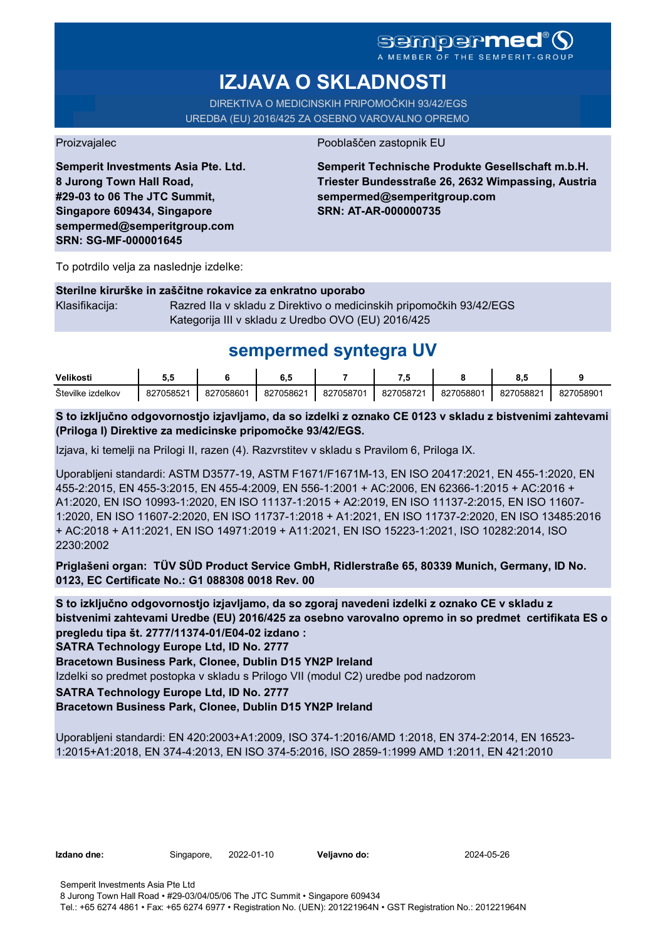A MEMBER OF THE SEMPERIT-GROUP

# **IZJAVA O SKLADNOSTI**

DIREKTIVA O MEDICINSKIH PRIPOMOČKIH 93/42/EGS UREDBA (EU) 2016/425 ZA OSEBNO VAROVALNO OPREMO

Proizvajalec Pooblaščen zastopnik EU

**Semperit Investments Asia Pte. Ltd. 8 Jurong Town Hall Road, #29-03 to 06 The JTC Summit, Singapore 609434, Singapore sempermed@semperitgroup.com SRN: SG-MF-000001645**

**Semperit Technische Produkte Gesellschaft m.b.H. Triester Bundesstraße 26, 2632 Wimpassing, Austria sempermed@semperitgroup.com SRN: AT-AR-000000735**

To potrdilo velja za naslednje izdelke:

#### **Sterilne kirurške in zaščitne rokavice za enkratno uporabo**

Klasifikacija: Razred IIa v skladu z Direktivo o medicinskih pripomočkih 93/42/EGS Kategorija III v skladu z Uredbo OVO (EU) 2016/425

## **sempermed syntegra UV**

| Velikosti            | u.                  |           | υ.,       |           |           |           | υ.,       |           |
|----------------------|---------------------|-----------|-----------|-----------|-----------|-----------|-----------|-----------|
| Stevilke<br>izdelkov | 827058521<br>' ا ےن | 827058601 | 827058621 | 827058701 | 827058721 | 827058801 | 827058821 | 827058901 |

**S to izključno odgovornostjo izjavljamo, da so izdelki z oznako CE 0123 v skladu z bistvenimi zahtevami (Priloga I) Direktive za medicinske pripomočke 93/42/EGS.**

Izjava, ki temelji na Prilogi II, razen (4). Razvrstitev v skladu s Pravilom 6, Priloga IX.

Uporabljeni standardi: ASTM D3577-19, ASTM F1671/F1671M-13, EN ISO 20417:2021, EN 455-1:2020, EN 455-2:2015, EN 455-3:2015, EN 455-4:2009, EN 556-1:2001 + AC:2006, EN 62366-1:2015 + AC:2016 + A1:2020, EN ISO 10993-1:2020, EN ISO 11137-1:2015 + A2:2019, EN ISO 11137-2:2015, EN ISO 11607- 1:2020, EN ISO 11607-2:2020, EN ISO 11737-1:2018 + A1:2021, EN ISO 11737-2:2020, EN ISO 13485:2016 + AC:2018 + A11:2021, EN ISO 14971:2019 + A11:2021, EN ISO 15223-1:2021, ISO 10282:2014, ISO 2230:2002

**Priglašeni organ: TÜV SÜD Product Service GmbH, Ridlerstraße 65, 80339 Munich, Germany, ID No. 0123, EC Certificate No.: G1 088308 0018 Rev. 00** 

**S to izključno odgovornostjo izjavljamo, da so zgoraj navedeni izdelki z oznako CE v skladu z bistvenimi zahtevami Uredbe (EU) 2016/425 za osebno varovalno opremo in so predmet certifikata ES o pregledu tipa št. 2777/11374-01/E04-02 izdano :**

**SATRA Technology Europe Ltd, ID No. 2777**

**Bracetown Business Park, Clonee, Dublin D15 YN2P Ireland**

Izdelki so predmet postopka v skladu s Prilogo VII (modul C2) uredbe pod nadzorom

### **SATRA Technology Europe Ltd, ID No. 2777**

#### **Bracetown Business Park, Clonee, Dublin D15 YN2P Ireland**

Uporabljeni standardi: EN 420:2003+A1:2009, ISO 374-1:2016/AMD 1:2018, EN 374-2:2014, EN 16523- 1:2015+A1:2018, EN 374-4:2013, EN ISO 374-5:2016, ISO 2859-1:1999 AMD 1:2011, EN 421:2010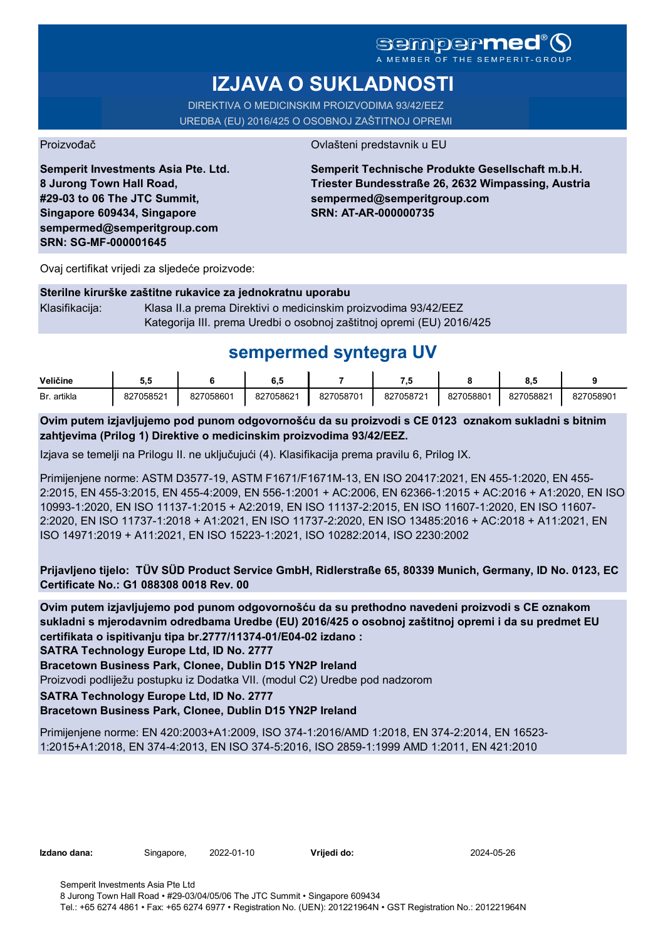## **sempermed**

A MEMBER OF THE

# **IZJAVA O SUKLADNOSTI**

DIREKTIVA O MEDICINSKIM PROIZVODIMA 93/42/EEZ UREDBA (EU) 2016/425 O OSOBNOJ ZAŠTITNOJ OPREMI

Proizvođač **Ovlašteni predstavnik u EU** 

**Semperit Investments Asia Pte. Ltd. 8 Jurong Town Hall Road, #29-03 to 06 The JTC Summit, Singapore 609434, Singapore sempermed@semperitgroup.com SRN: SG-MF-000001645**

**Semperit Technische Produkte Gesellschaft m.b.H. Triester Bundesstraße 26, 2632 Wimpassing, Austria sempermed@semperitgroup.com SRN: AT-AR-000000735**

Ovaj certifikat vrijedi za sljedeće proizvode:

#### **Sterilne kirurške zaštitne rukavice za jednokratnu uporabu**

Klasifikacija: Klasa II.a prema Direktivi o medicinskim proizvodima 93/42/EEZ Kategorija III. prema Uredbi o osobnoj zaštitnoj opremi (EU) 2016/425

## **sempermed syntegra UV**

| Veličine    | u.        |           | υ         |           | - 7       |           | υ.,       |           |
|-------------|-----------|-----------|-----------|-----------|-----------|-----------|-----------|-----------|
| Br. artikla | 827058521 | 827058601 | 827058621 | 827058701 | 827058721 | 827058801 | 827058821 | 827058901 |

**Ovim putem izjavljujemo pod punom odgovornošću da su proizvodi s CE 0123 oznakom sukladni s bitnim zahtjevima (Prilog 1) Direktive o medicinskim proizvodima 93/42/EEZ.**

Izjava se temelji na Prilogu II. ne uključujući (4). Klasifikacija prema pravilu 6, Prilog IX.

Primijenjene norme: ASTM D3577-19, ASTM F1671/F1671M-13, EN ISO 20417:2021, EN 455-1:2020, EN 455- 2:2015, EN 455-3:2015, EN 455-4:2009, EN 556-1:2001 + AC:2006, EN 62366-1:2015 + AC:2016 + A1:2020, EN ISO 10993-1:2020, EN ISO 11137-1:2015 + A2:2019, EN ISO 11137-2:2015, EN ISO 11607-1:2020, EN ISO 11607- 2:2020, EN ISO 11737-1:2018 + A1:2021, EN ISO 11737-2:2020, EN ISO 13485:2016 + AC:2018 + A11:2021, EN ISO 14971:2019 + A11:2021, EN ISO 15223-1:2021, ISO 10282:2014, ISO 2230:2002

**Prijavljeno tijelo: TÜV SÜD Product Service GmbH, Ridlerstraße 65, 80339 Munich, Germany, ID No. 0123, EC Certificate No.: G1 088308 0018 Rev. 00** 

**Ovim putem izjavljujemo pod punom odgovornošću da su prethodno navedeni proizvodi s CE oznakom sukladni s mjerodavnim odredbama Uredbe (EU) 2016/425 o osobnoj zaštitnoj opremi i da su predmet EU certifikata o ispitivanju tipa br.2777/11374-01/E04-02 izdano :**

**SATRA Technology Europe Ltd, ID No. 2777**

**Bracetown Business Park, Clonee, Dublin D15 YN2P Ireland**

Proizvodi podliježu postupku iz Dodatka VII. (modul C2) Uredbe pod nadzorom

**SATRA Technology Europe Ltd, ID No. 2777**

#### **Bracetown Business Park, Clonee, Dublin D15 YN2P Ireland**

Primijenjene norme: EN 420:2003+A1:2009, ISO 374-1:2016/AMD 1:2018, EN 374-2:2014, EN 16523- 1:2015+A1:2018, EN 374-4:2013, EN ISO 374-5:2016, ISO 2859-1:1999 AMD 1:2011, EN 421:2010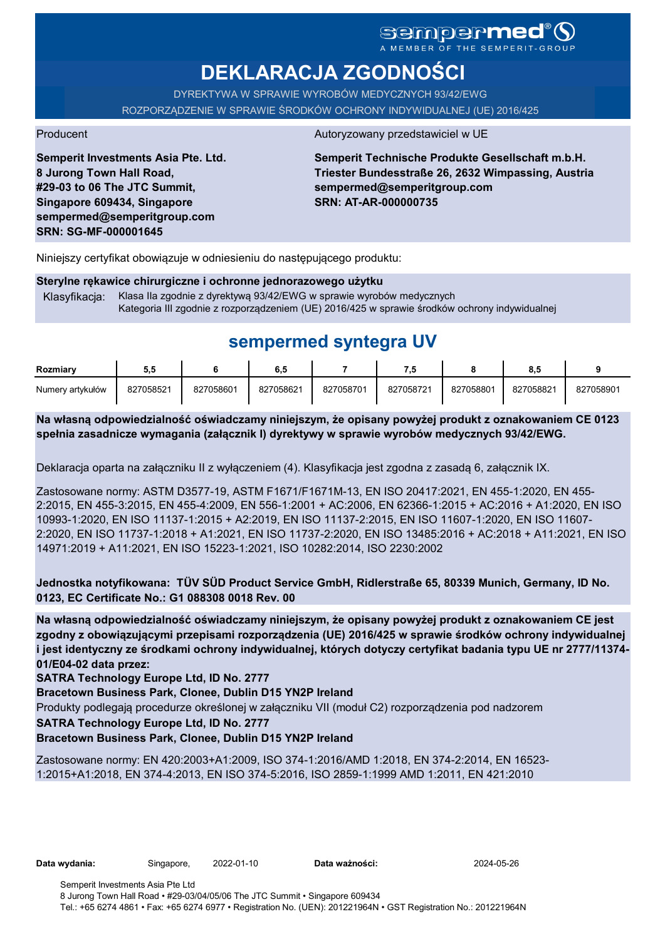# sempermed

**DEKLARACJA ZGODNOŚCI**

DYREKTYWA W SPRAWIE WYROBÓW MEDYCZNYCH 93/42/EWG ROZPORZĄDZENIE W SPRAWIE ŚRODKÓW OCHRONY INDYWIDUALNEJ (UE) 2016/425

**Semperit Investments Asia Pte. Ltd. 8 Jurong Town Hall Road, #29-03 to 06 The JTC Summit, Singapore 609434, Singapore sempermed@semperitgroup.com SRN: SG-MF-000001645**

#### Producent Autoryzowany przedstawiciel w UE

**Semperit Technische Produkte Gesellschaft m.b.H. Triester Bundesstraße 26, 2632 Wimpassing, Austria sempermed@semperitgroup.com SRN: AT-AR-000000735**

Niniejszy certyfikat obowiązuje w odniesieniu do następującego produktu:

#### **Sterylne rękawice chirurgiczne i ochronne jednorazowego użytku**

Klasyfikacja: Klasa IIa zgodnie z dyrektywą 93/42/EWG w sprawie wyrobów medycznych Kategoria III zgodnie z rozporządzeniem (UE) 2016/425 w sprawie środków ochrony indywidualnej

## **sempermed syntegra UV**

| Rozmiarv         | ວ.ວ       |           | 6.5       |           | ن.        |           | 8.5       |           |
|------------------|-----------|-----------|-----------|-----------|-----------|-----------|-----------|-----------|
| Numery artykułów | 827058521 | 827058601 | 827058621 | 827058701 | 827058721 | 827058801 | 827058821 | 827058901 |

**Na własną odpowiedzialność oświadczamy niniejszym, że opisany powyżej produkt z oznakowaniem CE 0123 spełnia zasadnicze wymagania (załącznik I) dyrektywy w sprawie wyrobów medycznych 93/42/EWG.**

Deklaracja oparta na załączniku II z wyłączeniem (4). Klasyfikacja jest zgodna z zasadą 6, załącznik IX.

Zastosowane normy: ASTM D3577-19, ASTM F1671/F1671M-13, EN ISO 20417:2021, EN 455-1:2020, EN 455- 2:2015, EN 455-3:2015, EN 455-4:2009, EN 556-1:2001 + AC:2006, EN 62366-1:2015 + AC:2016 + A1:2020, EN ISO 10993-1:2020, EN ISO 11137-1:2015 + A2:2019, EN ISO 11137-2:2015, EN ISO 11607-1:2020, EN ISO 11607- 2:2020, EN ISO 11737-1:2018 + A1:2021, EN ISO 11737-2:2020, EN ISO 13485:2016 + AC:2018 + A11:2021, EN ISO 14971:2019 + A11:2021, EN ISO 15223-1:2021, ISO 10282:2014, ISO 2230:2002

**Jednostka notyfikowana: TÜV SÜD Product Service GmbH, Ridlerstraße 65, 80339 Munich, Germany, ID No. 0123, EC Certificate No.: G1 088308 0018 Rev. 00** 

**Na własną odpowiedzialność oświadczamy niniejszym, że opisany powyżej produkt z oznakowaniem CE jest zgodny z obowiązującymi przepisami rozporządzenia (UE) 2016/425 w sprawie środków ochrony indywidualnej i jest identyczny ze środkami ochrony indywidualnej, których dotyczy certyfikat badania typu UE nr 2777/11374- 01/E04-02 data przez:**

**SATRA Technology Europe Ltd, ID No. 2777**

**Bracetown Business Park, Clonee, Dublin D15 YN2P Ireland**

Produkty podlegają procedurze określonej w załączniku VII (moduł C2) rozporządzenia pod nadzorem

**SATRA Technology Europe Ltd, ID No. 2777**

#### **Bracetown Business Park, Clonee, Dublin D15 YN2P Ireland**

Zastosowane normy: EN 420:2003+A1:2009, ISO 374-1:2016/AMD 1:2018, EN 374-2:2014, EN 16523- 1:2015+A1:2018, EN 374-4:2013, EN ISO 374-5:2016, ISO 2859-1:1999 AMD 1:2011, EN 421:2010

**Data wydania:** Singapore, 2022-01-10 **Data ważności:** 2024-05-26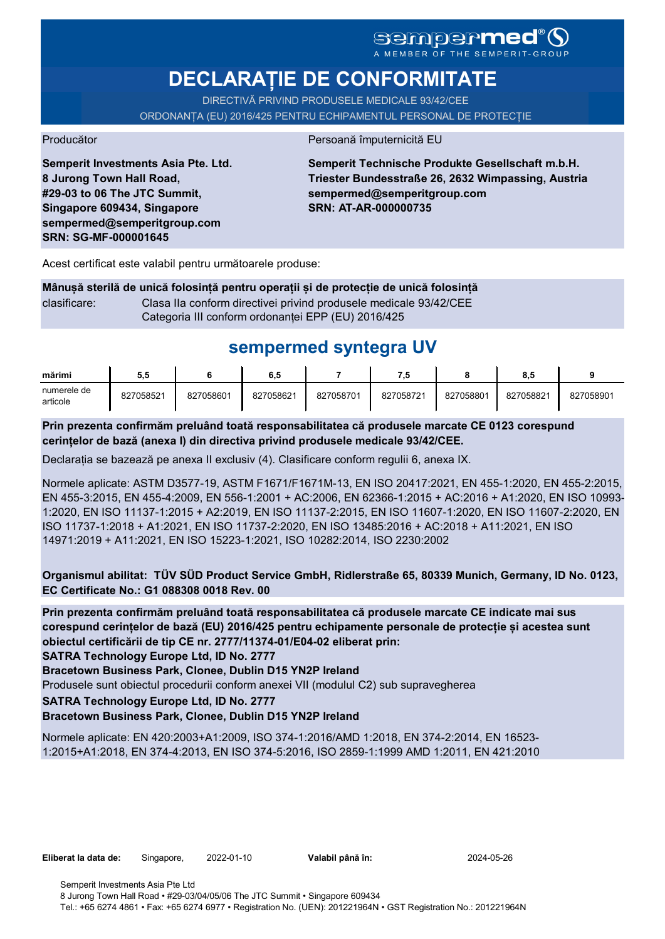# SGMDGPMEd<sup>®</sup>O

**DECLARAȚIE DE CONFORMITATE**

DIRECTIVĂ PRIVIND PRODUSELE MEDICALE 93/42/CEE

ORDONANȚA (EU) 2016/425 PENTRU ECHIPAMENTUL PERSONAL DE PROTECȚIE

Producător **Producător** Persoană împuternicită EU

**Semperit Investments Asia Pte. Ltd. 8 Jurong Town Hall Road, #29-03 to 06 The JTC Summit, Singapore 609434, Singapore sempermed@semperitgroup.com SRN: SG-MF-000001645**

**Semperit Technische Produkte Gesellschaft m.b.H. Triester Bundesstraße 26, 2632 Wimpassing, Austria sempermed@semperitgroup.com SRN: AT-AR-000000735**

Acest certificat este valabil pentru următoarele produse:

**Mânușă sterilă de unică folosință pentru operații și de protecție de unică folosință** clasificare: Clasa IIa conform directivei privind produsele medicale 93/42/CEE Categoria III conform ordonanței EPP (EU) 2016/425

# **sempermed syntegra UV**

| mărimi                  | 5.5       |           | 6.5       |           | - 7       |           | 8.5       |           |
|-------------------------|-----------|-----------|-----------|-----------|-----------|-----------|-----------|-----------|
| numerele de<br>articole | 827058521 | 827058601 | 827058621 | 827058701 | 827058721 | 827058801 | 827058821 | 827058901 |

**Prin prezenta confirmăm preluând toată responsabilitatea că produsele marcate CE 0123 corespund cerințelor de bază (anexa I) din directiva privind produsele medicale 93/42/CEE.**

Declarația se bazează pe anexa II exclusiv (4). Clasificare conform regulii 6, anexa IX.

Normele aplicate: ASTM D3577-19, ASTM F1671/F1671M-13, EN ISO 20417:2021, EN 455-1:2020, EN 455-2:2015, EN 455-3:2015, EN 455-4:2009, EN 556-1:2001 + AC:2006, EN 62366-1:2015 + AC:2016 + A1:2020, EN ISO 10993- 1:2020, EN ISO 11137-1:2015 + A2:2019, EN ISO 11137-2:2015, EN ISO 11607-1:2020, EN ISO 11607-2:2020, EN ISO 11737-1:2018 + A1:2021, EN ISO 11737-2:2020, EN ISO 13485:2016 + AC:2018 + A11:2021, EN ISO 14971:2019 + A11:2021, EN ISO 15223-1:2021, ISO 10282:2014, ISO 2230:2002

**Organismul abilitat: TÜV SÜD Product Service GmbH, Ridlerstraße 65, 80339 Munich, Germany, ID No. 0123, EC Certificate No.: G1 088308 0018 Rev. 00** 

**Prin prezenta confirmăm preluând toată responsabilitatea că produsele marcate CE indicate mai sus corespund cerințelor de bază (EU) 2016/425 pentru echipamente personale de protecție și acestea sunt obiectul certificării de tip CE nr. 2777/11374-01/E04-02 eliberat prin:**

**SATRA Technology Europe Ltd, ID No. 2777**

**Bracetown Business Park, Clonee, Dublin D15 YN2P Ireland**

Produsele sunt obiectul procedurii conform anexei VII (modulul C2) sub supravegherea

**SATRA Technology Europe Ltd, ID No. 2777**

#### **Bracetown Business Park, Clonee, Dublin D15 YN2P Ireland**

Normele aplicate: EN 420:2003+A1:2009, ISO 374-1:2016/AMD 1:2018, EN 374-2:2014, EN 16523- 1:2015+A1:2018, EN 374-4:2013, EN ISO 374-5:2016, ISO 2859-1:1999 AMD 1:2011, EN 421:2010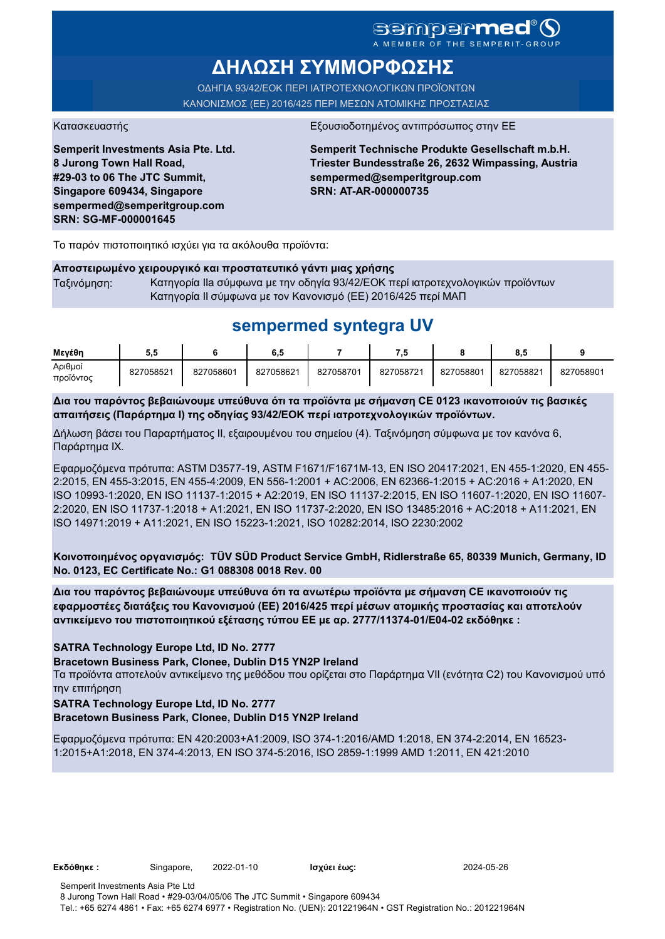### sempermed<sup>®</sup>Q A MEMBER OF THE SEMPERIT-GROUI

**ΔΗΛΩΣΗ ΣΥΜΜΟΡΦΩΣΗΣ**

ΟΔΗΓΙΑ 93/42/ΕΟΚ ΠΕΡΙ ΙΑΤΡΟΤΕΧΝΟΛΟΓΙΚΩΝ ΠΡΟΪΟΝΤΩΝ ΚΑΝΟΝΙΣΜΟΣ (ΕΕ) 2016/425 ΠΕΡΙ ΜΕΣΩΝ ΑΤΟΜΙΚΗΣ ΠΡΟΣΤΑΣΙΑΣ

Κατασκευαστής <u>Εξουσιοδοτημένος αντιπρόσωπος στην Ε</u>

**Semperit Investments Asia Pte. Ltd. 8 Jurong Town Hall Road, #29-03 to 06 The JTC Summit, Singapore 609434, Singapore sempermed@semperitgroup.com SRN: SG-MF-000001645**

**Semperit Technische Produkte Gesellschaft m.b.H. Triester Bundesstraße 26, 2632 Wimpassing, Austria sempermed@semperitgroup.com SRN: AT-AR-000000735**

Το παρόν πιστοποιητικό ισχύει για τα ακόλουθα προϊόντα:

#### **Αποστειρωμένο χειρουργικό και προστατευτικό γάντι μιας χρήσης**

Ταξινόμηση: Κατηγορία IIa σύμφωνα με την οδηγία 93/42/ΕΟΚ περί ιατροτεχνολογικών προϊόντων Κατηγορία II σύμφωνα με τον Κανονισμό (ΕΕ) 2016/425 περί ΜΑΠ

## **sempermed syntegra UV**

| Μενέθη               | ວ.ວ       |           | 6,5       |           | - 7       |           | 8,5       |           |
|----------------------|-----------|-----------|-----------|-----------|-----------|-----------|-----------|-----------|
| Αριθμοί<br>προϊόντος | 827058521 | 827058601 | 827058621 | 827058701 | 827058721 | 827058801 | 827058821 | 827058901 |

**Δια του παρόντος βεβαιώνουμε υπεύθυνα ότι τα προϊόντα με σήμανση CE 0123 ικανοποιούν τις βασικές απαιτήσεις (Παράρτημα I) της οδηγίας 93/42/ΕΟΚ περί ιατροτεχνολογικών προϊόντων.**

Δήλωση βάσει του Παραρτήματος II, εξαιρουμένου του σημείου (4). Ταξινόμηση σύμφωνα με τον κανόνα 6, Παράρτημα IX.

Εφαρμοζόμενα πρότυπα: ASTM D3577-19, ASTM F1671/F1671M-13, EN ISO 20417:2021, EN 455-1:2020, EN 455- 2:2015, EN 455-3:2015, EN 455-4:2009, EN 556-1:2001 + AC:2006, EN 62366-1:2015 + AC:2016 + A1:2020, EN ISO 10993-1:2020, EN ISO 11137-1:2015 + A2:2019, EN ISO 11137-2:2015, EN ISO 11607-1:2020, EN ISO 11607- 2:2020, EN ISO 11737-1:2018 + A1:2021, EN ISO 11737-2:2020, EN ISO 13485:2016 + AC:2018 + A11:2021, EN ISO 14971:2019 + A11:2021, EN ISO 15223-1:2021, ISO 10282:2014, ISO 2230:2002

**Κοινοποιημένος οργανισμός: TÜV SÜD Product Service GmbH, Ridlerstraße 65, 80339 Munich, Germany, ID No. 0123, EC Certificate No.: G1 088308 0018 Rev. 00** 

**Δια του παρόντος βεβαιώνουμε υπεύθυνα ότι τα ανωτέρω προϊόντα με σήμανση CE ικανοποιούν τις εφαρμοστέες διατάξεις του Κανονισμού (ΕΕ) 2016/425 περί μέσων ατομικής προστασίας και αποτελούν αντικείμενο του πιστοποιητικού εξέτασης τύπου ΕΕ με αρ. 2777/11374-01/E04-02 εκδόθηκε :**

#### **SATRA Technology Europe Ltd, ID No. 2777**

**Bracetown Business Park, Clonee, Dublin D15 YN2P Ireland**

Τα προϊόντα αποτελούν αντικείμενο της μεθόδου που ορίζεται στο Παράρτημα VII (ενότητα C2) του Κανονισμού υπό την επιτήρηση

#### **SATRA Technology Europe Ltd, ID No. 2777**

#### **Bracetown Business Park, Clonee, Dublin D15 YN2P Ireland**

Εφαρμοζόμενα πρότυπα: EN 420:2003+A1:2009, ISO 374-1:2016/AMD 1:2018, EN 374-2:2014, EN 16523- 1:2015+A1:2018, EN 374-4:2013, EN ISO 374-5:2016, ISO 2859-1:1999 AMD 1:2011, EN 421:2010

**Εκδόθηκε :** Singapore, 2022-01-10 **Ισχύει έως:** 2024-05-26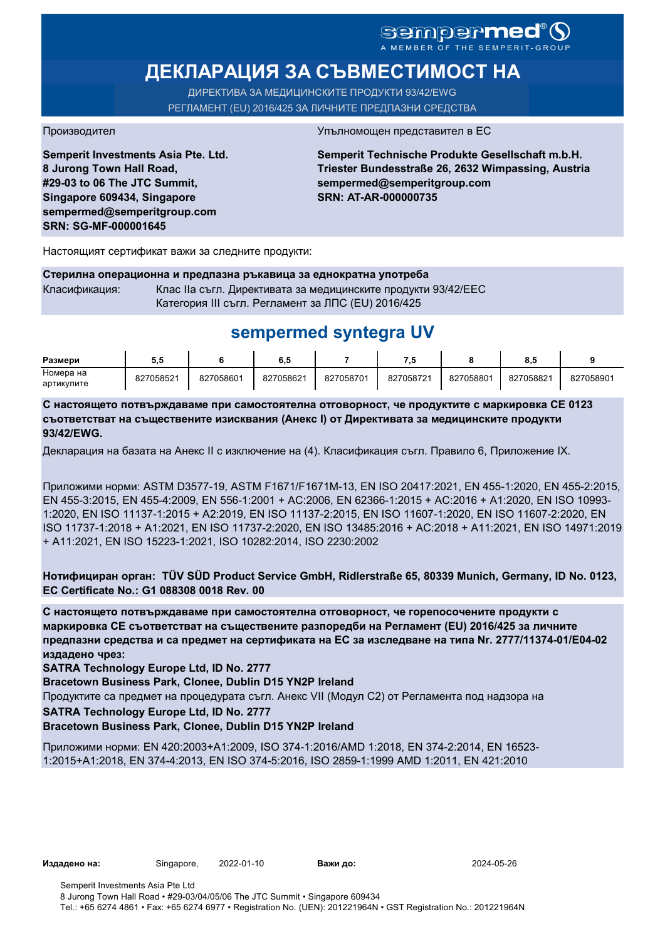# sempermed®

# **ДЕКЛАРАЦИЯ ЗА СЪВМЕСТИМОСТ НА**

ДИРЕКТИВА ЗА МЕДИЦИНСКИТЕ ПРОДУКТИ 93/42/EWG РЕГЛАМЕНТ (EU) 2016/425 ЗА ЛИЧНИТЕ ПРЕДПАЗНИ СРЕДСТВА

**Semperit Investments Asia Pte. Ltd. 8 Jurong Town Hall Road, #29-03 to 06 The JTC Summit, Singapore 609434, Singapore sempermed@semperitgroup.com SRN: SG-MF-000001645**

#### Производител Упълномощен представител в ЕС

**Semperit Technische Produkte Gesellschaft m.b.H. Triester Bundesstraße 26, 2632 Wimpassing, Austria sempermed@semperitgroup.com SRN: AT-AR-000000735**

Настоящият сертификат важи за следните продукти:

**Стерилна операционна и предпазна ръкавица за еднократна употреба** Класификация: Клас IIa съгл. Директивата за медицинските продукти 93/42/EEC Категория III съгл. Регламент за ЛПС (EU) 2016/425

## **sempermed syntegra UV**

| Размери    | v.v       |           | o. J      |           |           |           | ο.υ       |           |
|------------|-----------|-----------|-----------|-----------|-----------|-----------|-----------|-----------|
| Номера на  | 827058521 | 827058601 | 827058621 | 827058701 | 827058721 | 827058801 | 827058821 | 827058901 |
| артикулите |           |           |           |           |           |           |           |           |

**С настоящето потвърждаваме при самостоятелна отговорност, че продуктите с маркировка СЕ 0123 съответстват на съществените изисквания (Анекс I) от Директивата за медицинските продукти 93/42/EWG.**

Декларация на базата на Анекс II с изключение на (4). Класификация съгл. Правило 6, Приложение IX.

Приложими норми: ASTM D3577-19, ASTM F1671/F1671M-13, EN ISO 20417:2021, EN 455-1:2020, EN 455-2:2015, EN 455-3:2015, EN 455-4:2009, EN 556-1:2001 + AC:2006, EN 62366-1:2015 + AC:2016 + A1:2020, EN ISO 10993- 1:2020, EN ISO 11137-1:2015 + A2:2019, EN ISO 11137-2:2015, EN ISO 11607-1:2020, EN ISO 11607-2:2020, EN ISO 11737-1:2018 + A1:2021, EN ISO 11737-2:2020, EN ISO 13485:2016 + AC:2018 + A11:2021, EN ISO 14971:2019 + A11:2021, EN ISO 15223-1:2021, ISO 10282:2014, ISO 2230:2002

**Нотифициран орган: TÜV SÜD Product Service GmbH, Ridlerstraße 65, 80339 Munich, Germany, ID No. 0123, EC Certificate No.: G1 088308 0018 Rev. 00** 

**С настоящето потвърждаваме при самостоятелна отговорност, че горепосочените продукти с маркировка СЕ съответстват на съществените разпоредби на Регламент (EU) 2016/425 за личните предпазни средства и са предмет на сертификата на ЕС за изследване на типа Nr. 2777/11374-01/E04-02 издадено чрез:**

**SATRA Technology Europe Ltd, ID No. 2777**

**Bracetown Business Park, Clonee, Dublin D15 YN2P Ireland**

Продуктите са предмет на процедурата съгл. Анекс VII (Модул С2) от Регламента под надзора на

**SATRA Technology Europe Ltd, ID No. 2777**

**Bracetown Business Park, Clonee, Dublin D15 YN2P Ireland**

Приложими норми: EN 420:2003+A1:2009, ISO 374-1:2016/AMD 1:2018, EN 374-2:2014, EN 16523- 1:2015+A1:2018, EN 374-4:2013, EN ISO 374-5:2016, ISO 2859-1:1999 AMD 1:2011, EN 421:2010